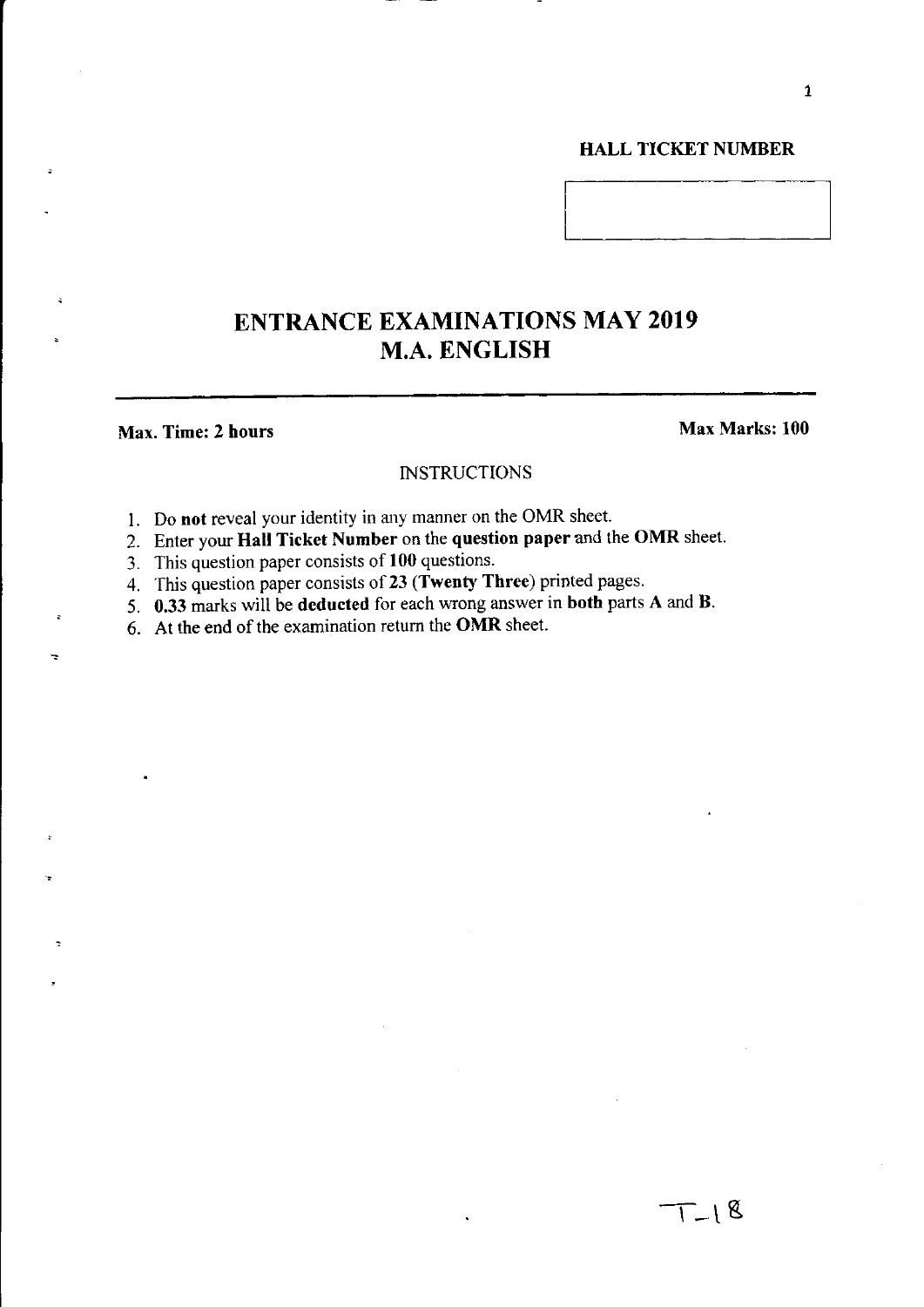# HALL TICKET NUMBER

# ENTRANCE EXAMINATIONS MAY 2019 M.A. ENGLISH

# Max. Time: 2 hours Max Marks: 100

### **INSTRUCTIONS**

- I. Do not reveal your identity in any manner on the OMR sheet.
- 2. Enter your Hall Ticket Number on the question paper and the OMR sheet.
- 3. This question paper consists of 100 questions.
- 4. This question paper consists of 23 (Twenty Three) printed pages.
- 5. 0.33 marks will be deducted for each wrong answer in both parts A and B.
- 6. At the end of the examination return the OMR sheet.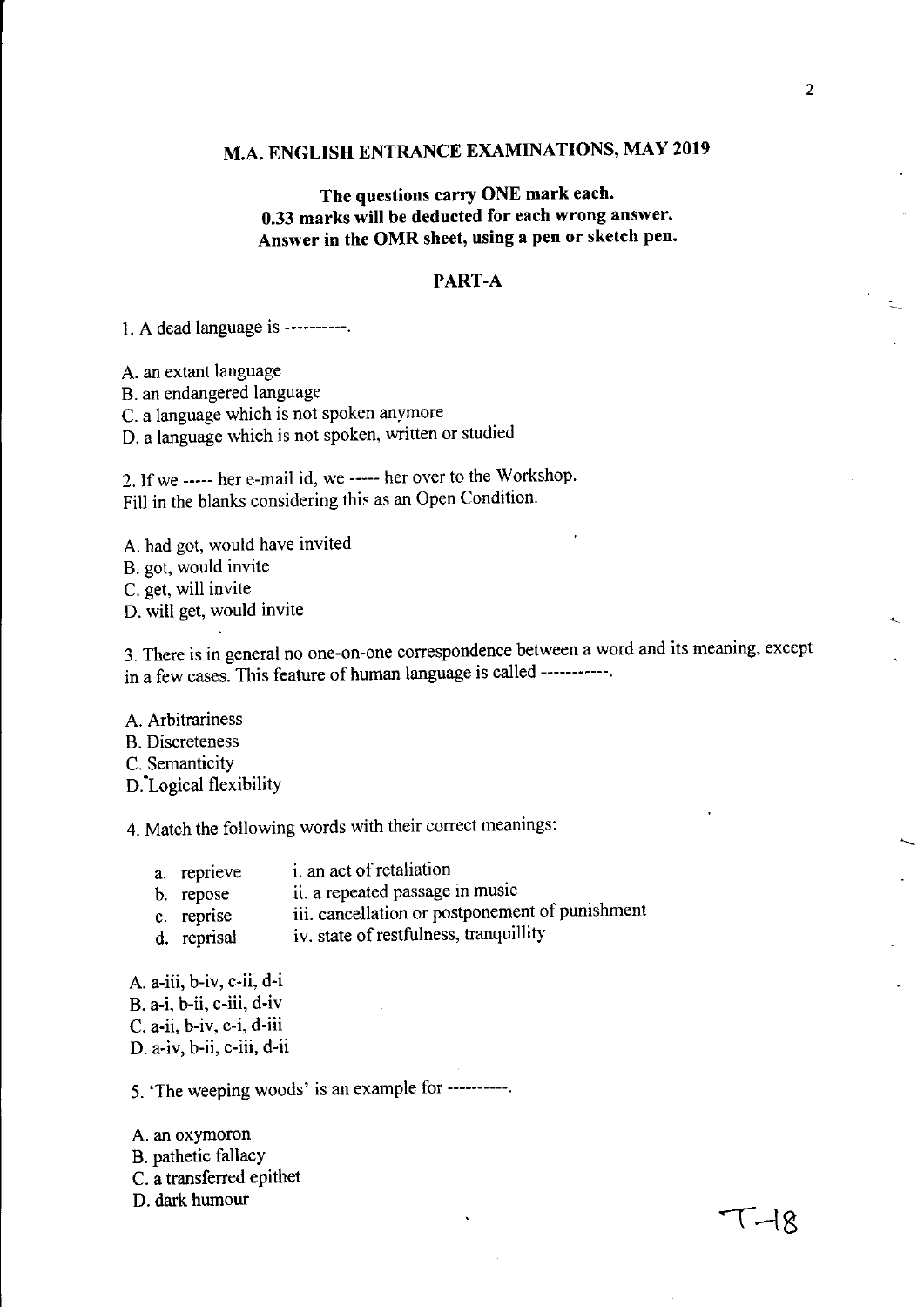# **M.A. ENGLISH ENTRANCE EXAMINATIONS, MAY 2019**

# **The questions carry ONE mark each. 0.33 marks will be deducted for each wrong answer. Answer in the OMR sheet, using a pen or sketch pen.**

# **PART-A**

1. A dead language is **----------.** 

A. an extant language

B. an endangered language

C. a language which is not spoken anymore

D. a language which is not spoken, written or studied

2. If we ----- her e-mail id, we ----- her over to the Workshop. Fill in the blanks considering this as an Open Condition.

A. had got, would have invited

B. got, would invite

C. get, will invite

D. will get, would invite

3. There is in general no one-on-one correspondence between a word and its meaning, except in a few cases. This feature of human language is called -----------.

A. Arbitrariness B. Discreteness C. Semanticity

D:Logical flexibility

4. Match the following words with their correct meanings:

| a. reprieve | <i>i</i> . an act of retaliation |
|-------------|----------------------------------|
|-------------|----------------------------------|

- b. repose ii. a repeated passage in music
- c. repnse iii. cancellation or postponement of punishment
- d. reprisal iv. state of restfulness, tranquillity

A. a-iii, b-iv, c-ii, d-i

B. a-i, b-ii, c-iii, d-iv

C. a-ii, b-iv, c-i, d-iii

D. a-iv, b-ii, c-iii, d-ii

5. 'The weeping woods' is an example for ----------.

A. an oxymoron

B. pathetic fallacy

C. a transferred epithet

D. dark humour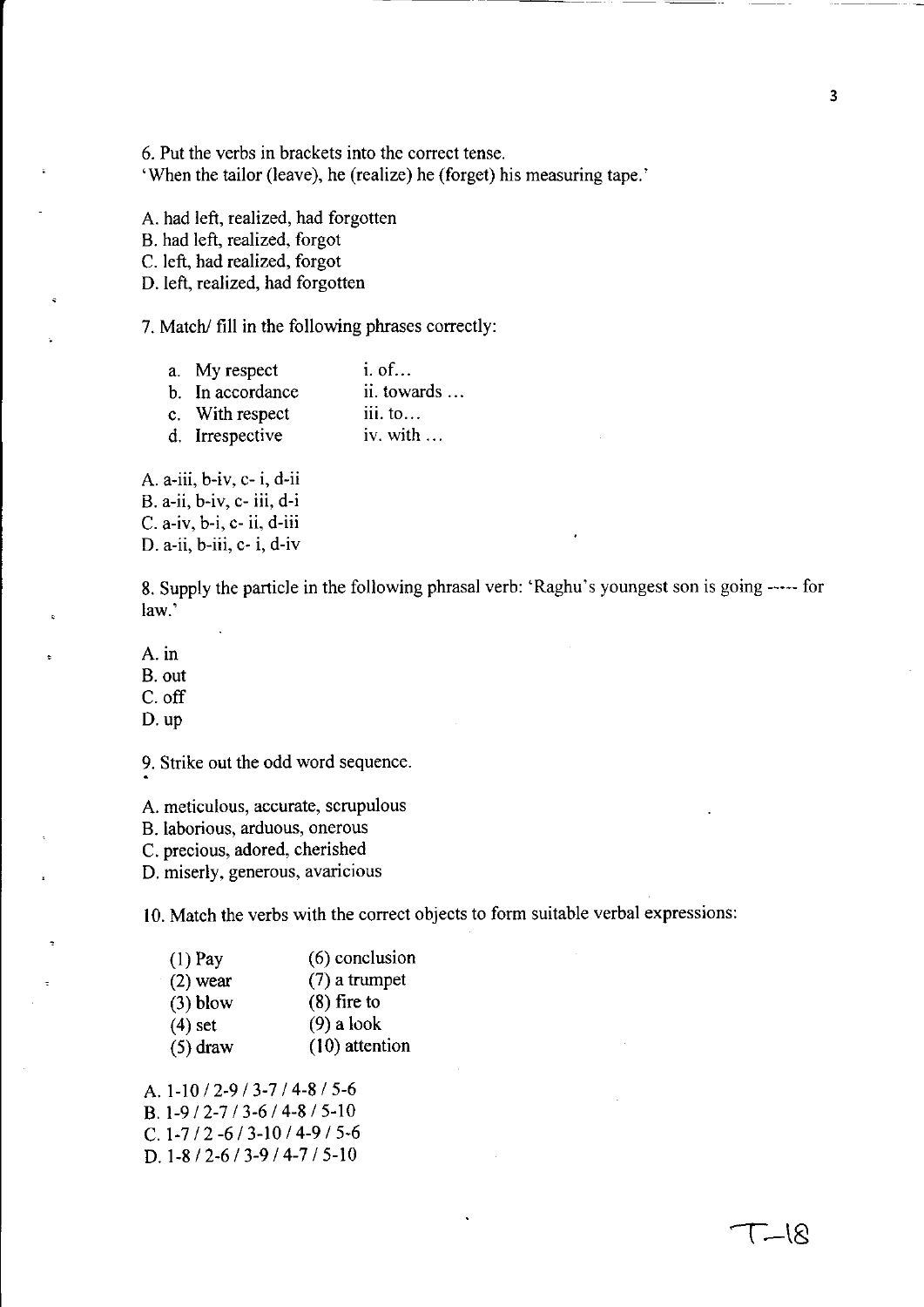6. Put the verbs in brackets into the correct tense. 'When the tailor (leave), he (realize) he (forget) his measuring tape.'

A. had left, realized, had forgotten

B. had left, realized, forgot

C. left, had realized, forgot

D. left, realized, had forgotten

7. Match/ fill in the following phrases correctly:

| a. My respect    | $i.$ of $\dots$   |
|------------------|-------------------|
| b. In accordance | ii. towards       |
| c. With respect  | iii. to           |
| d. Irrespective  | iv. with $\ldots$ |

A. a-iii, b-iv, c- i, d-ii B. a-ii, b-iv, c- iii, d-i C. a-iv, b-i, c- ii, d-iii D. a-ii, b-iii, c- i, d-iv

8. Supply the particle in the following phrasal verb: 'Raghu's youngest son is going ----- for law.'

A. in

B. out

C. off

D. up

9. Strike out the odd word sequence.

A. meticulous, accurate, scrupulous

B. laborious, arduous, onerous

C. precious, adored, cherished

D. miserly, generous, avaricious

10. Match the verbs with the correct objects to form suitable verbal expressions:

| $(1)$ Pay  | $(6)$ conclusion |
|------------|------------------|
| $(2)$ wear | $(7)$ a trumpet  |
| $(3)$ blow | $(8)$ fire to    |
| $(4)$ set  | $(9)$ a look     |
| $(5)$ draw | $(10)$ attention |

A. 1-10/2-9/3-7/4-8/5-6 B. 1-9/2-7/3-6/4-8/5-10 C.  $1-7/2 -6/3-10/4-9/5-6$ D.  $1-8/2-6/3-9/4-7/5-10$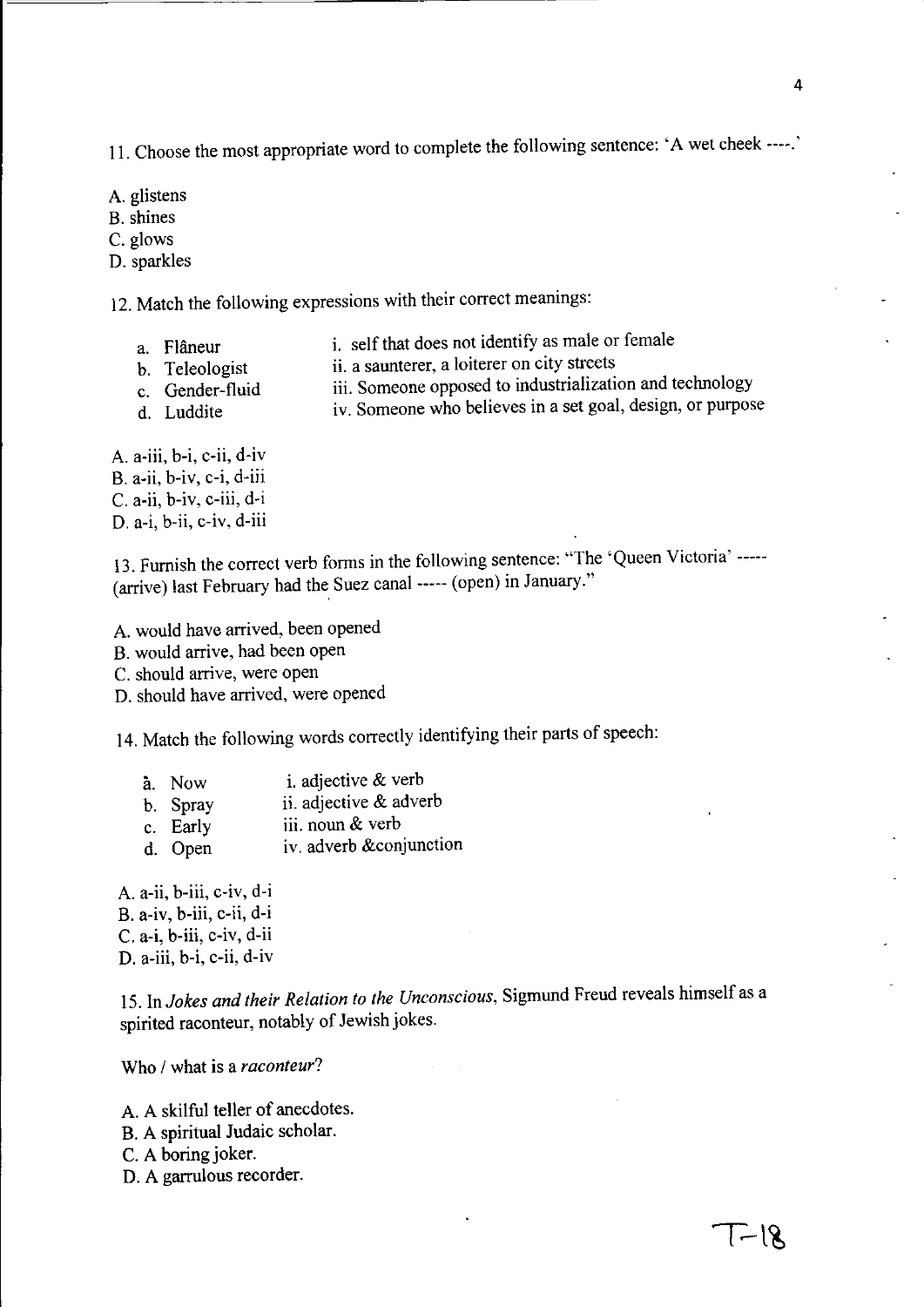II. Choose the most appropriate word to complete the following sentence: 'A wet cheek ----.'

- A. glistens
- B. shines
- C. glows
- D. sparkles

12. Match the following expressions with their correct meanings:

- a. Flaneur
- i. self that does not identify as male or female
- b. Teleologist
- ii. a saunterer, a loiterer on city streets
- c. Gender-fluid
- iii. Someone opposed to industrialization and technology
- d. Luddite
- iv. Someone who believes in a set goal, design, or purpose
- A. a-iii, b-i, c-ii, d-iv B. a-ii, b-iv, c-i, d-iii C. a-ii, b-iv, c-iii, d-i D. a-i, b-ii, c-iv, d-iii

13. Furnish the correct verb forms in the following sentence: "The 'Queen Victoria' ----- (arrive) last February had the Suez canal----- (open) in January."

A. would have arrived, been opened B. would arrive, had been open C. should arrive, were open D. should have arrived, were opened

14. Match the following words correctly identifying their parts of speech:

| a. Now   | i. adjective $&$ verb  |
|----------|------------------------|
| b. Spray | ii. adjective & adverb |

- c. Early iii. noun & verb
- d. Open iv. adverb &conjunction

A. a-ii, b-iii, c-iv, d-i B. a-iv, b-iii, c-ii, d-i C. a-i, b-iii, c-iv, d-ii D. a-iii, b-i, c-ii, d-iv

IS. In *Jokes and their Relation to the Unconscious,* Sigmund Freud reveals himself as a spirited raconteur, notably of Jewish jokes.

Who / what is a *raconteur?* 

- A. A skilful teller of anecdotes.
- B. A spiritual Judaic scholar.
- C. A boring joker.
- D. A garrulous recorder.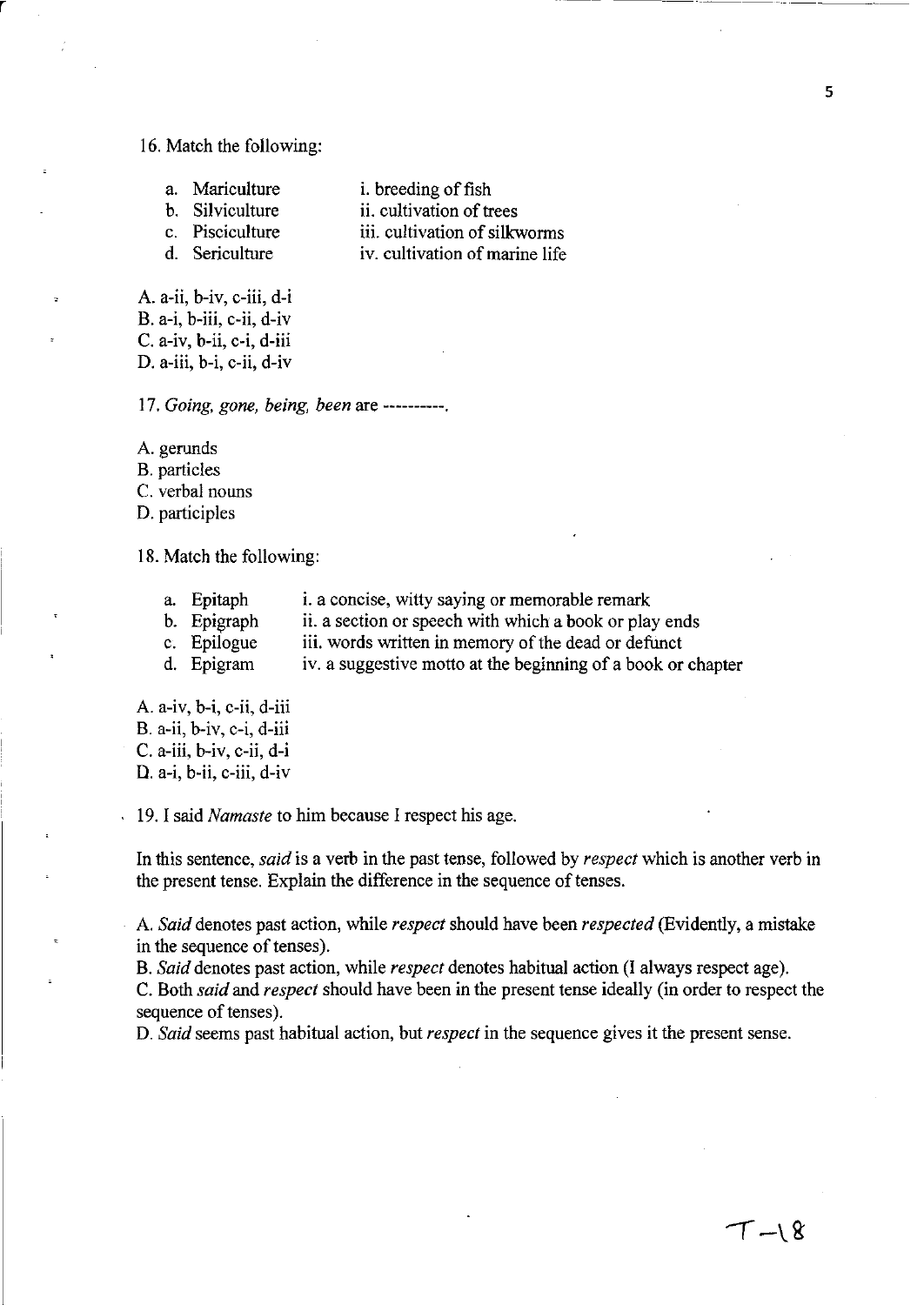#### 16. Match the following:

r

- a. Mariculture b. Silviculture c. Pisciculture i. breeding of fish ii. cultivation of trees iii. cultivation of silkworms
- d. Sericulture iv. cultivation of marine life

A. a-ii, b-iv, c-iii, d-i B. a-i, b-iii, c-ii, d-iv C. a-iv, b-ii, c-i, d-iii D. a-iii, b-i, c-ii, d-iv

*17. Going. gone. being. been* are ----------.

A. gerunds

B. particles

C. verbal nouns

D. participles

18. Match the following:

- a. Epitaph i. a concise, witty saying or memorable remark
- b. Epigraph ii. a section or speech with which a book or play ends
- c. Epilogue iii. words written in memory of the dead or defunct
- d. Epigram iv. a suggestive motto at the beginning of a book or chapter

A. a-iv, b-i, c-ii, d-iii B. a-ii, b-iv, c-i, d-iii C. a-iii, b-iv, c-ii, d-i D. a-i, b-ii, c-iii, d-iv

19. I said *Namaste* to him because I respect his age.

In this sentence, *said* is a verb in the past tense, followed by *respect* which is another verb in the present tense. Explain the difference in the sequence of tenses.

A. *Said* denotes past action, while *respect* should have been *respected* (Evidently, a mistake in the sequence of tenses).

B. *Said* denotes past action, while *respect* denotes habitual action (I always respect age).

C. Both *said* and *respect* should have been in the present tense ideally (in order to respect the sequence of tenses).

D. *Said* seems past habitual action, but *respect* in the sequence gives it the present sense.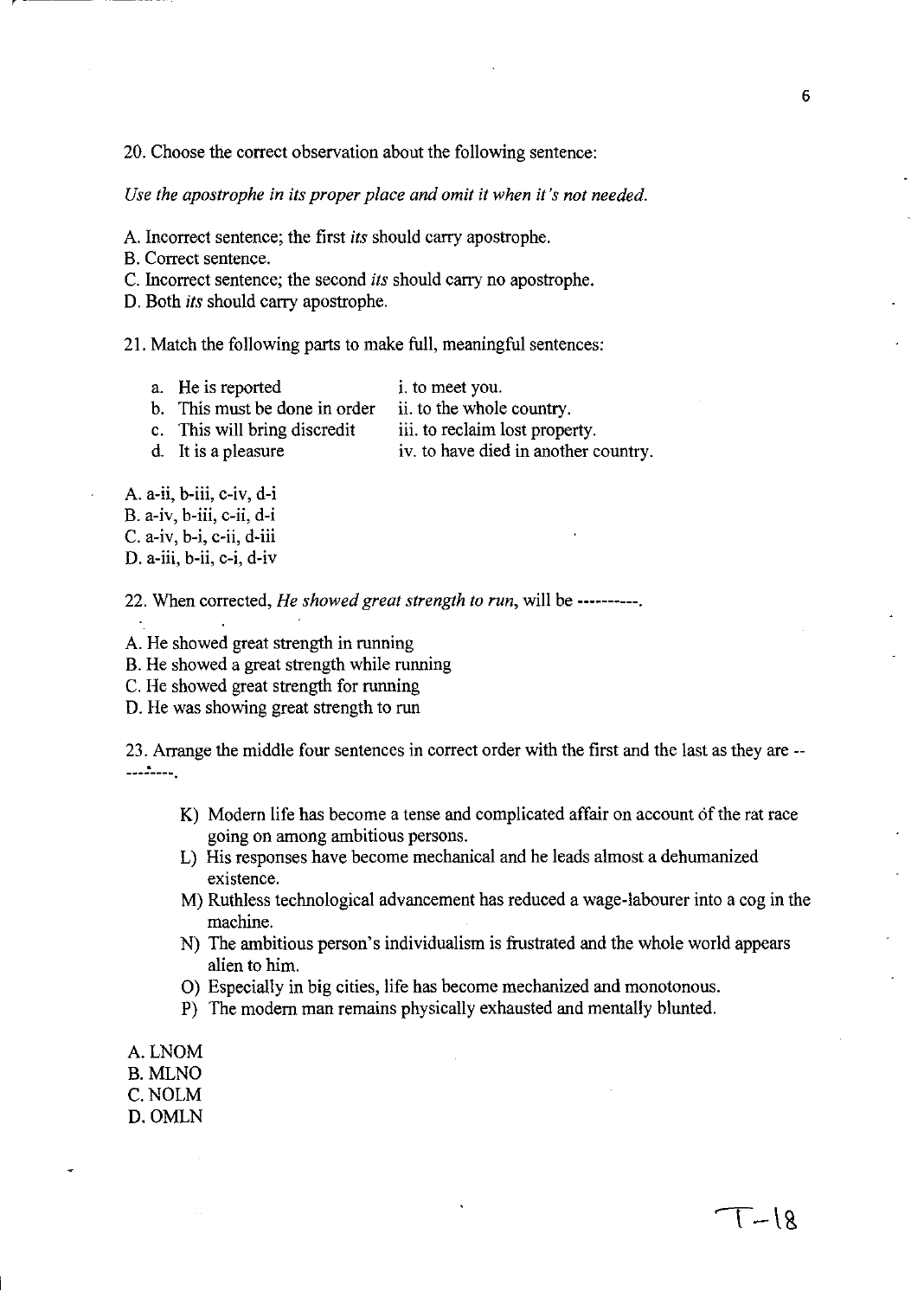20. Choose the correct observation about the following sentence:

*Use the apostrophe in its proper place and omit it when it's not needed.* 

A. Incorrect sentence; the first *its* should carry apostrophe.

B. Correct sentence.

C. Incorrect sentence; the second *its* should carry no apostrophe.

D. Both *its* should carry apostrophe.

21. Match the following parts to make full, meaningful sentences:

- a. He is reported i. to meet you. b. This must be done in order ii. to the whole country.
- c. This will bring discredit iii. to reclaim lost property.
- 

d. It is a pleasure iv. to have died in another country.

A. a-ii, b-iii, c-iv, d-i B. a-iv, b-iii, c-ii, d-i C. a-iv, b-i, c-ii, d-iii D. a-iii, b-ii, c-i, d-iv

22. When corrected, *He showed great strength to run,* will be ----------.

A. He showed great strength in running

B. He showed a great strength while running

C. He showed great strength for running

D. He was showing great strength to run

23. Arrange the middle four sentences in correct order with the first and the last as they are -- 

- K) Modern life has become a tense and complicated affair on account of the rat race going on among ambitious persons.
- L) His responses have become mechanical and he leads almost a dehumanized existence.
- M) Ruthless technological advancement has reduced a wage-labourer into a cog in the machine.
- N) The ambitious person's individualism is frustrated and the whole world appears alien to him.
- 0) Especially in big cities, life has become mechanized and monotonous.
- P) The modern man remains physically exhausted and mentally blunted.
- A.LNOM
- B. MLNO
- C.NOLM
- D.OMLN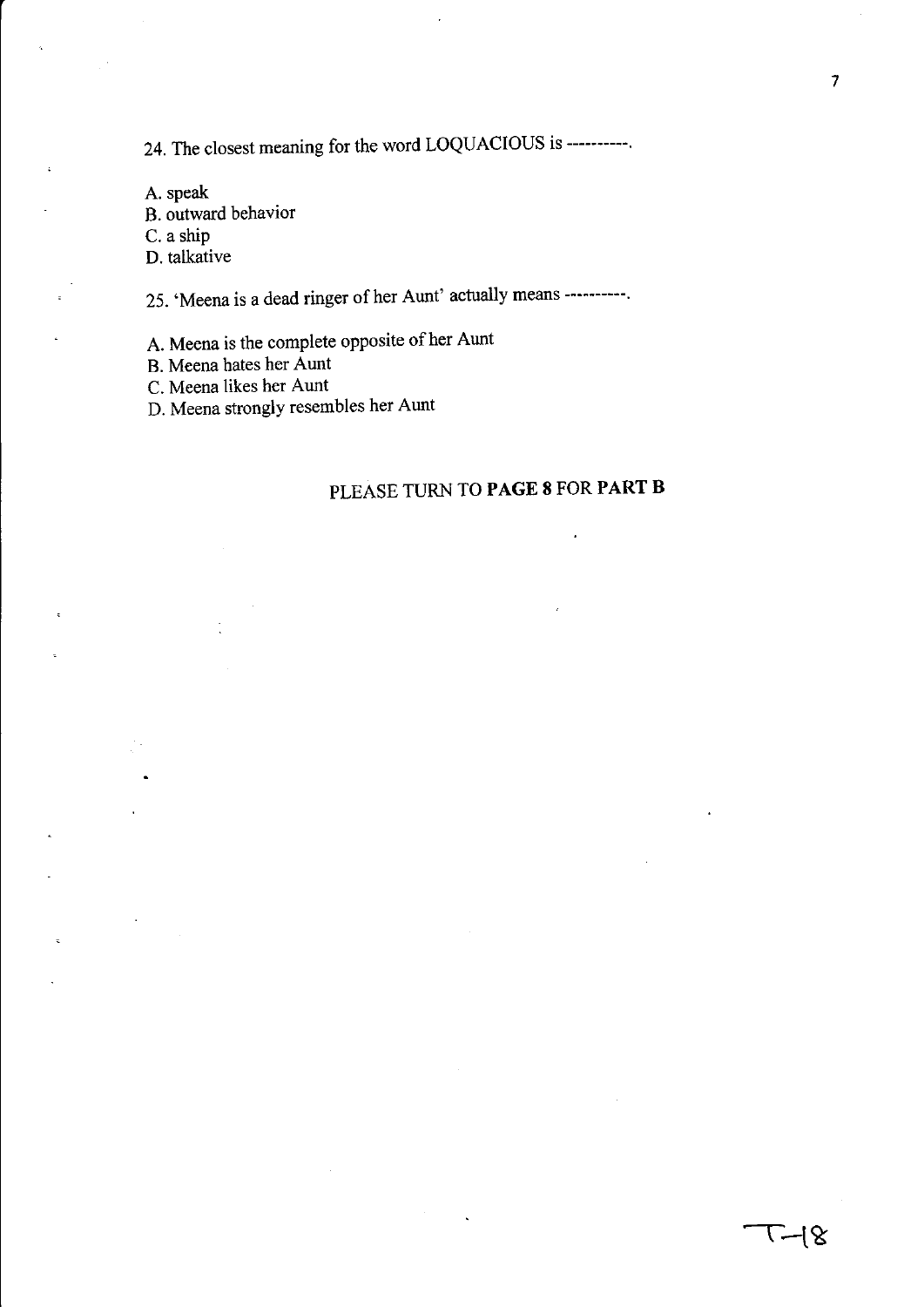24. The closest meaning for the word LOQUACIOUS is ----------.

A. speak B. outward behavior C. a ship D. talkative

25. 'Meena is a dead ringer of her Aunt' actually means ----------.

A. Meena is the complete opposite of her Aunt

B. Meena hates her Aunt

C. Meena likes her Aunt

D. Meena strongly resembles her Aunt

# PLEASE TURN TO **PAGE 8** FOR **PART B**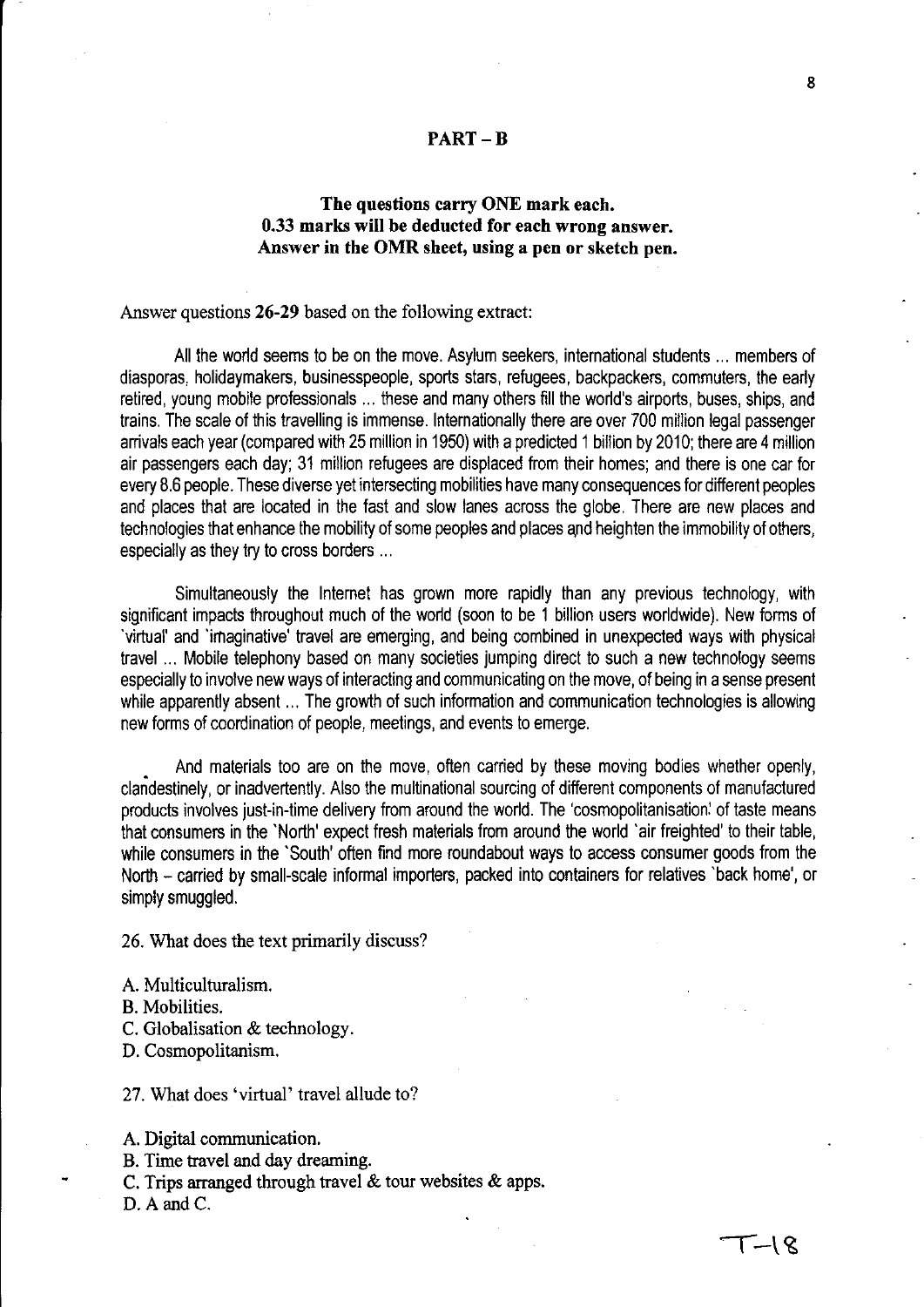### **PART-B**

# **The questions carry ONE mark each. 0.33 marks will be deducted for each wrong answer. Answer in the OMR sheet, using a pen or sketch pen.**

### Answer questions **26-29** based on the following extract:

All the world seems to be on the move. Asylum seekers, international students ... members of diasporas, holidaymakers, businesspeople, sports stars, refugees, backpackers, commuters, the early retired, young mobile professionals ... these and many others fill the world's airports, buses, ships, and trains. The scale of this travelling is immense. Internationally there are over 700 million legal passenger arrivals each year (compared with 25 million in 1950) with a predicted 1 billion by 2010; there are 4 million air passengers each day; 31 million refugees are displaced from their homes; and there is one car for every B.6 people. These diverse yet intersecting mobilities have many consequences for different peoples and places that are located in the fast and slow lanes across the globe. There are new places and technologies that enhance the mobility of some peoples and places and heighten the immobility of others, especially as they try to cross borders ...

Simultaneously the Internet has grown more rapidly than any previous technology, with significant impacts throughout much of the world (soon to be 1 billion users worldwide). New forms of 'virtual' and 'imaginative' travel are emerging, and being combined in unexpected ways with physical travel ... Mobile telephony based on many societies jumping direct to such a new technology seems especially to involve new ways of interacting and communicating on the move, of being in a sense present while apparently absent ... The growth of such information and communication technologies is allowing new forms of coordination of people, meetings, and events to emerge.

And materials too are on the move, often carried by these moving bodies whether openly, clandestinely, or inadvertently. Also the multinational sourcing of different components of manufactured products involves just-in-time delivery from around the world. The 'cosmopolitanisation: of taste means that consumers in the 'North' expect fresh materials from around the world 'air freighted' to their table, while consumers in the 'South' often find more roundabout ways to access consumer goods from the North - carried by small-scale informal importers, packed into containers for relatives 'back home', or simply smuggled.

26. What does the text primarily discuss?

A. Multiculturalism,

B. Mobilities.

C, Globalisation & technology.

D, Cosmopolitanism,

27, What does 'virtual' travel allude to?

A. Digital communication,

- B, Time travel and day dreaming,
- C. Trips arranged through travel & tour websites & apps.

D. A and C.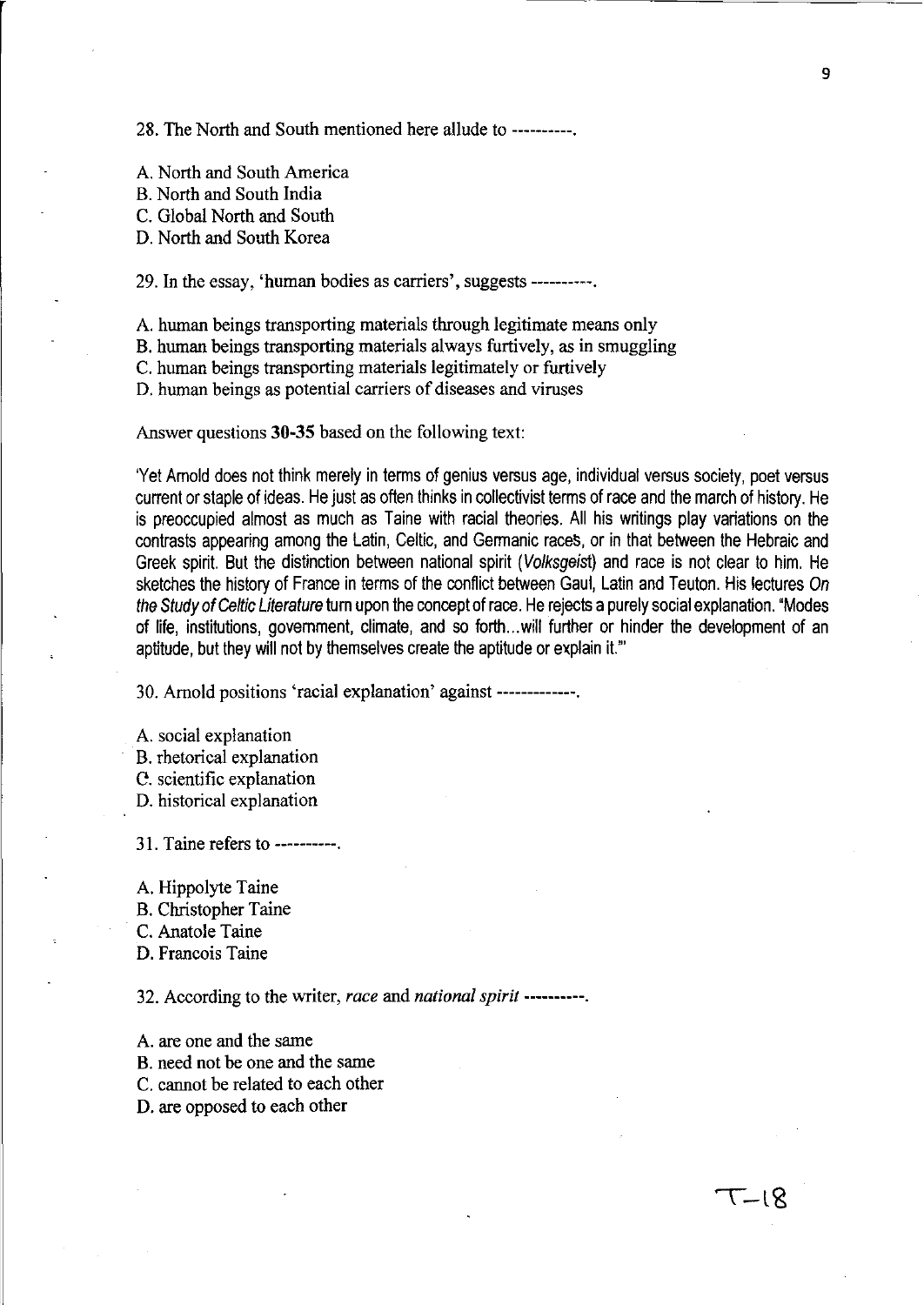28. The North and South mentioned here allude to ----------.

A. North and South America

B. North and South India

C. Global North and South

D. North and South Korea

29. In the essay, 'human bodies as carriers', suggests ----------.

A. human beings transporting materials through legitimate means only

B. human beings transporting materials always furtively, as in smuggling

C. human beings transporting materials legitimately or furtively

D. human beings as potential carriers of diseases and viruses

Answer questions **30-35** based on the following text:

'Yet Amold does not think merely in terms of genius versus age, individual versus society, poet versus current or staple of ideas. He just as often thinks in collectivist terms of race and the march of history. He is preoccupied almost as much as Taine with racial theories. All his writings play variations on the contrasts appearing among the Latin, Celtic, and Germanic raceS, or in that between the Hebraic and Greek spirit. But the distinction between national spirit (Volksgeist) and race is not clear to him. He sketches the history of France in terms of the conflict between Gaul, Latin and Teuton. His lectures On the Study of Celtic Literature tum upon the concept of race. He rejects a purely social explanation. "Modes of life, institutions, govemment, climate, and so forth ... will further or hinder the development of an aptitude, but they will not by themselves create the aptitude or explain it.'"

30. Arnold positions 'racial explanation' against -------------.

A. social explanation B. rhetorical explanation C. scientific explanation D. historical explanation

31. Taine refers to ----------.

A. Hippolyte Taine

B. Christopher Taine

C. Anatole Taine

D. Francois Taine

32. According to the writer, *race* and *national spirit* ----------.

A. are one and the same B. need not be one and the same C. cannot be related to each other

D. are opposed to each other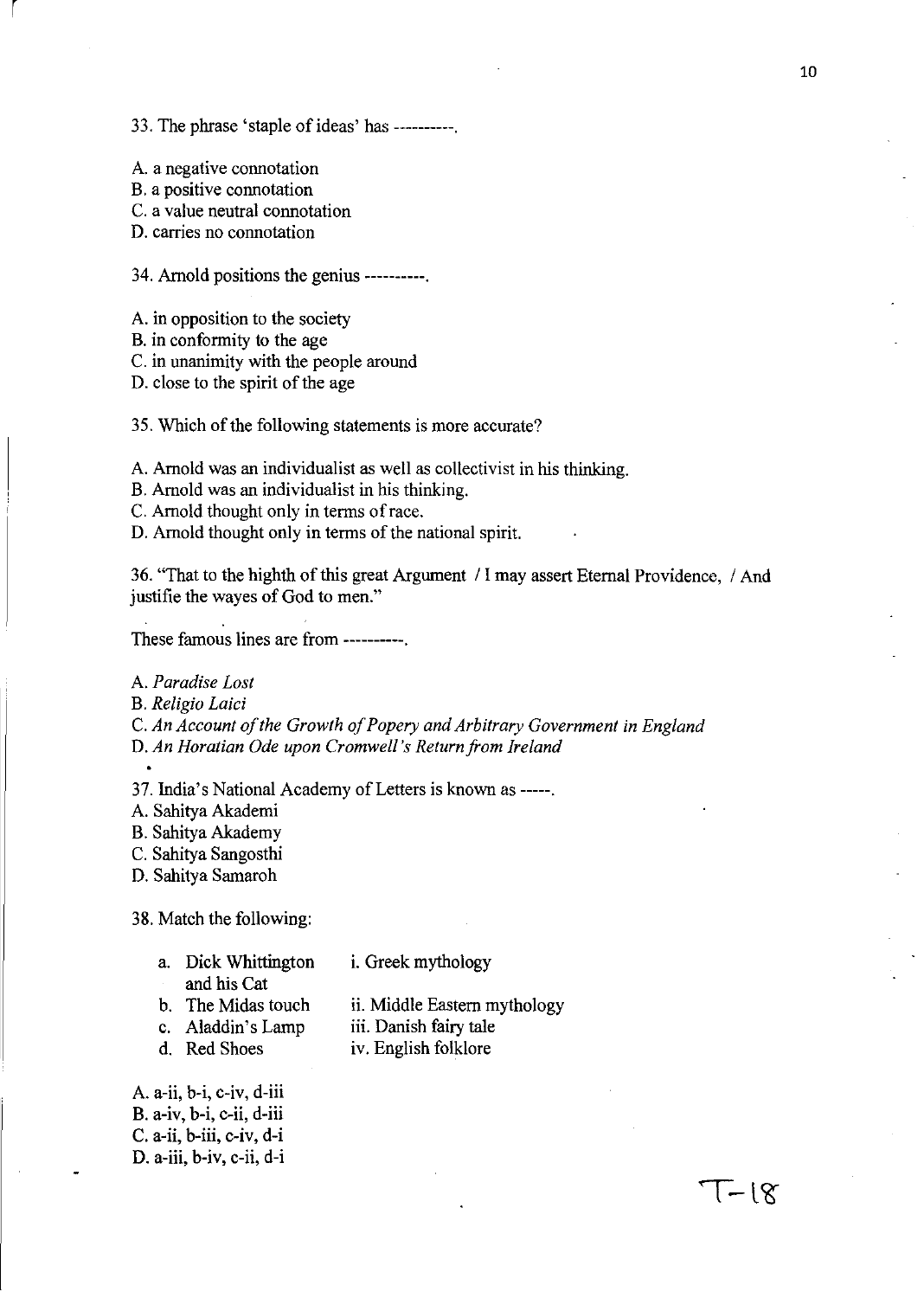### 33. The phrase 'staple of ideas' has ----------.

A. a negative connotation

B. a positive connotation

r

C. a value neutral connotation

D. carries no connotation

34. Arnold positions the genius ----------.

A. in opposition to the society

B. in conformity to the age

C. in unanimity with the people around

D. close to the spirit of the age

35. Which of the following statements is more accurate?

A. Arnold was an individualist as well as collectivist in his thinking.

- B. Arnold was an individualist in his thinking.
- C. Arnold thought only in terms of race.

D. Arnold thought only in terms of the national spirit.

36. "That to the highth of this great Argument / I may assert Eternal Providence, / And justifie the wayes of God to men."

These famous lines are from ----------.

A. *Paradise Lost* 

- B. *Religio Laid*
- C. *An Account of the Growth of Popery and Arbitrary Government in England*

D. *An Horatian Ode upon Cromwell's Return from Ireland* 

37. India's National Academy of Letters is known as -----.

- A. Sahitya Akademi
- B. Sahitya Akademy
- C. Sahitya Sangosthi
- D. Sahitya Samaroh

38. Match the following:

| a. Dick Whittington | i. Greek mythology           |
|---------------------|------------------------------|
| and his Cat         |                              |
| b. The Midas touch  | ii. Middle Eastern mythology |
| c. Aladdin's Lamp   | iii. Danish fairy tale       |
|                     |                              |

d. Red Shoes

iv. English folklore

A. a-ii, b-i, c-iv, d-iii B. a-iv, b-i, c-ii, d-iii C. a-ii, b-iii, c-iv, d-i D. a-iii, b-iv, c-ii, d-i

 $1 - 18$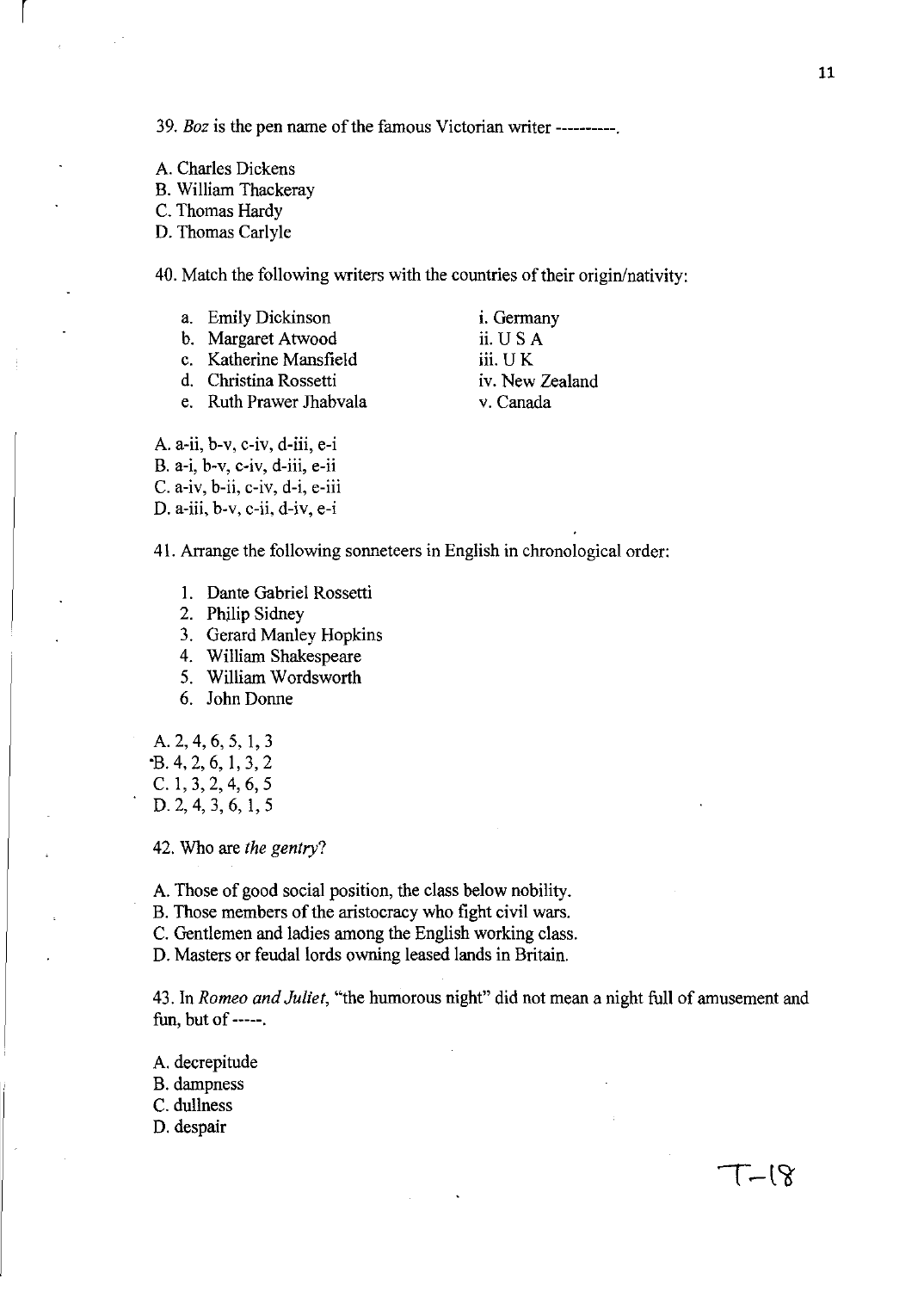*39. Boz* is the pen name of the famous Victorian writer ----------.

A. Charles Dickens

 $\vert$ 

B. William Thackeray

C. Thomas Hardy

D. Thomas Carlyle

40. Match the following writers with the countries of their origin/nativity:

- a. Emily Dickinson
- b. Margaret Atwood
- c. Katherine Mansfield
- d. Christina Rossetti
- e. Ruth Prawer Thabvala

i. Germany ii. USA iii. U K iv. New Zealand

v. Canada

A. a-ii, b-v, c-iv, d-iii, e-i B. a-i, b-v, c-iv, d-iii, e-ii C. a-iv, b-ii, c-iv, d-i, e-iii D. a-iii, b-v, c-ii, d-iv, e-i

41. Arrange the following sonneteers in English in chronological order:

- I. Dante Gabriel Rossetti
- 2. Philip Sidney
- 3. Gerard Manley Hopkins
- 4. William Shakespeare
- 5. William Wordsworth
- 6. John Donne

A. 2, 4, 6, 5, 1, 3 "B. 4, 2, 6, 1, 3, 2 C. I, 3, 2, 4, 6, 5

D. 2, 4, 3, 6, 1, 5

42. Who are *the gentry?* 

A. Those of good social position, the class below nobility.

B. Those members of the aristocracy who fight civil wars.

C. Gentlemen and ladies among the English working class.

D. Masters or feudal lords owning leased lands in Britain.

43. In *Romeo and Juliet,* "the humorous night" did not mean a night full of amusement and fun, but of -----.

A. decrepitude B. dampness C. dullness D. despair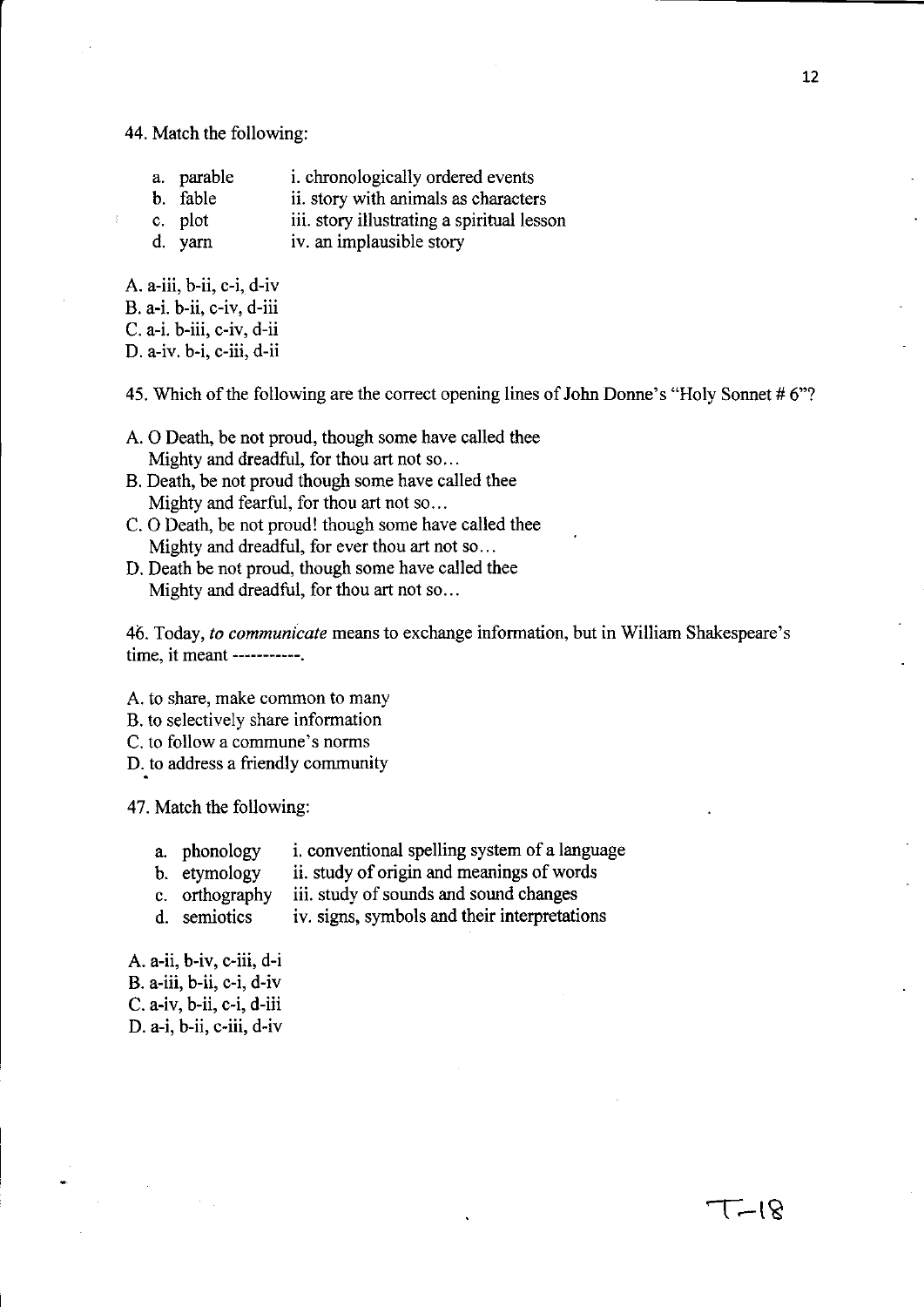44. Match the following:

|  | a. parable |  |  | <i>i</i> . chronologically ordered events |
|--|------------|--|--|-------------------------------------------|
|--|------------|--|--|-------------------------------------------|

- b. fable ii. story with animals as characters
- c. plot iii. story illustrating a spiritual lesson
- d. yarn iv. an implausible story

 $A. a$ -iii,  $b$ -ii,  $c$ -i,  $d$ -iv B. a-i. h-ii, c-iv, d-iii

C. a-i. b-iii, c-iv, d-ii

D. a-iv. b-i, c-iii, d-ii

45. Which of the following are the correct opening lines of John Donne's "Holy Sonnet # 6"7

- A. 0 Death, be not proud, though some have called thee Mighty and dreadful, for thou art not so...
- B. Death, he not proud though some have called thee Mighty and fearful, for thou art not so...
- C. 0 Death, be not proud! though some have called thee Mighty and dreadful, for ever thou art not so...
- D. Death be not proud, though some have called thee Mighty and dreadful, for thou art not so...

46. Today, *to communicate* means to exchange information, but in William Shakespeare's time, it meant -----------.

A. to share, make common to many

- B. to selectively share information
- C. to follow a commune's norms
- D. to address a friendly community

47. Match the following:

- a. phonology i. conventional spelling system of a language
- h. etymology ii. study of origin and meanings of words
- c. orthography iii. study of sounds and sound changes
- d. semiotics iv. signs, symbols and their interpretations

A. a-ii, b-iv, c-iii, d-i B. a-iii, h-ii, c-i, d-iv  $C. a$ -iv,  $b$ -ii,  $c$ -i,  $d$ -iii D. a-i, b-ii, c-iii, d-iv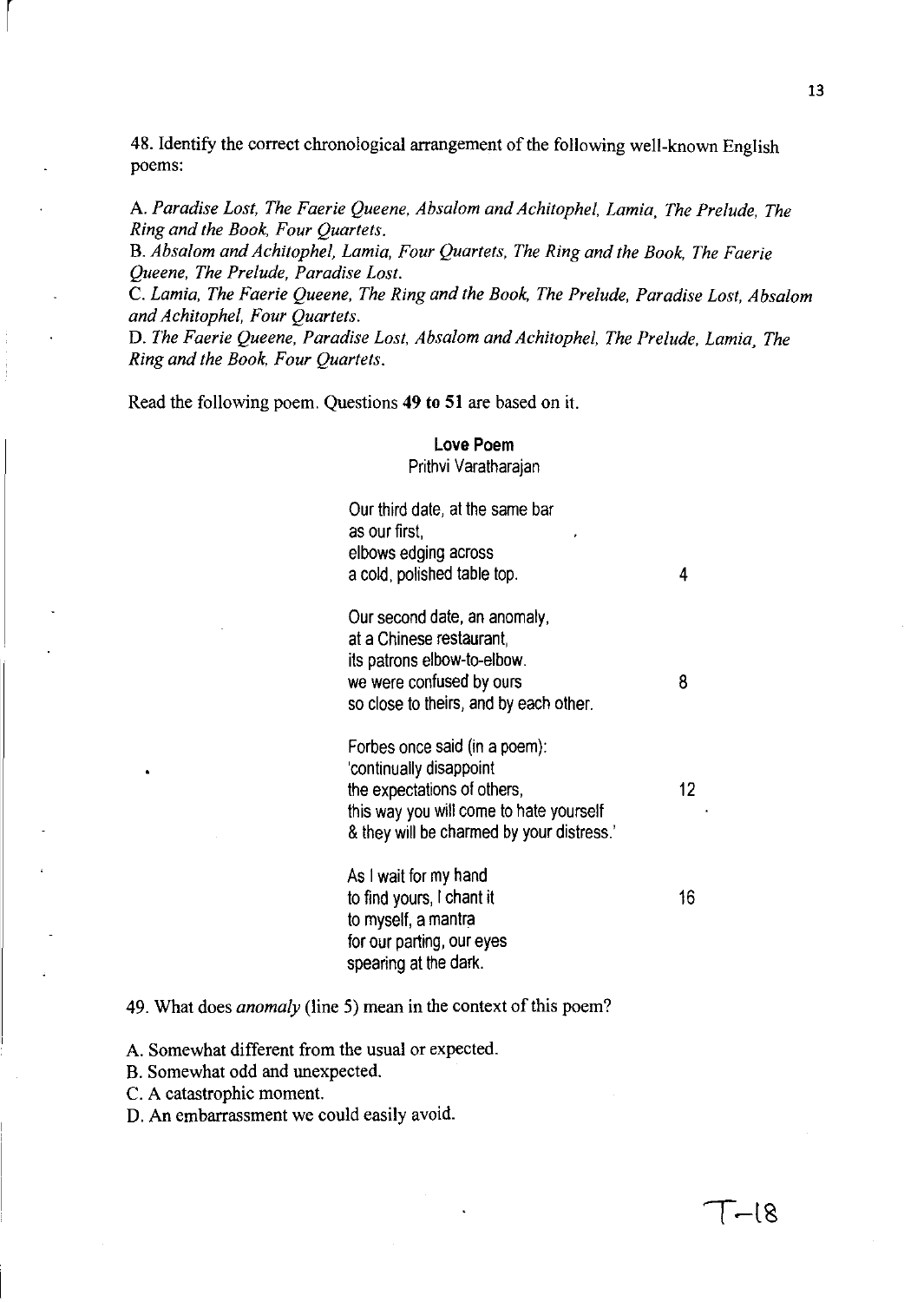48. Identify the correct chronological arrangement of the following well-known English poems:

A. *Paradise Lost, The Faerie Queene, Absalom and Achitophel, Lamia, The Prelude, The Ring and the Book, Four Quartets.* 

B. *Absalom and Achitophel, Lamia, Four Quartets, The Ring and the Book, The Faerie Queene, The Prelude, Paradise Lost.* 

C. *Lamia, The Faerie Queene, The Ring and the Book, The Prelude, Paradise Lost, Absalom and Achitophel, Four Quartets.* 

D. *The Faerie Queene, Paradise Lost, Absalom and Achitophel, The Prelude, Lamia, The Ring and the Book, Four Quartets.* 

Read the following poem. Questions **49 to 51** are based on it.

 $\begin{bmatrix} \phantom{-} \end{bmatrix}$ 

### **Love Poem**

Prithvi Varatharajan

Our third date, at the same bar as our first, elbows edging across a cold, polished table top. 4 Our second date, an anomaly, at a Chinese restaurant, its patrons elbow-to-elbow. we were confused by ours and the state of 8 so close to theirs, and by each other. Forbes once said (in a poem): 'continually disappoint the expectations of others, 12 this way you will come to hate yourself & they will be charmed by your distress.' As I wait for my hand to find yours, I chant it 16 to myself, a mantra for our parting, our eyes spearing at the dark.

### 49. What does *anomaly* (line 5) mean in the context of this poem?

A. Somewhat different from the usual or expected.

B. Somewhat odd and unexpected.

C. A catastrophic moment.

D. An embarrassment we could easily avoid.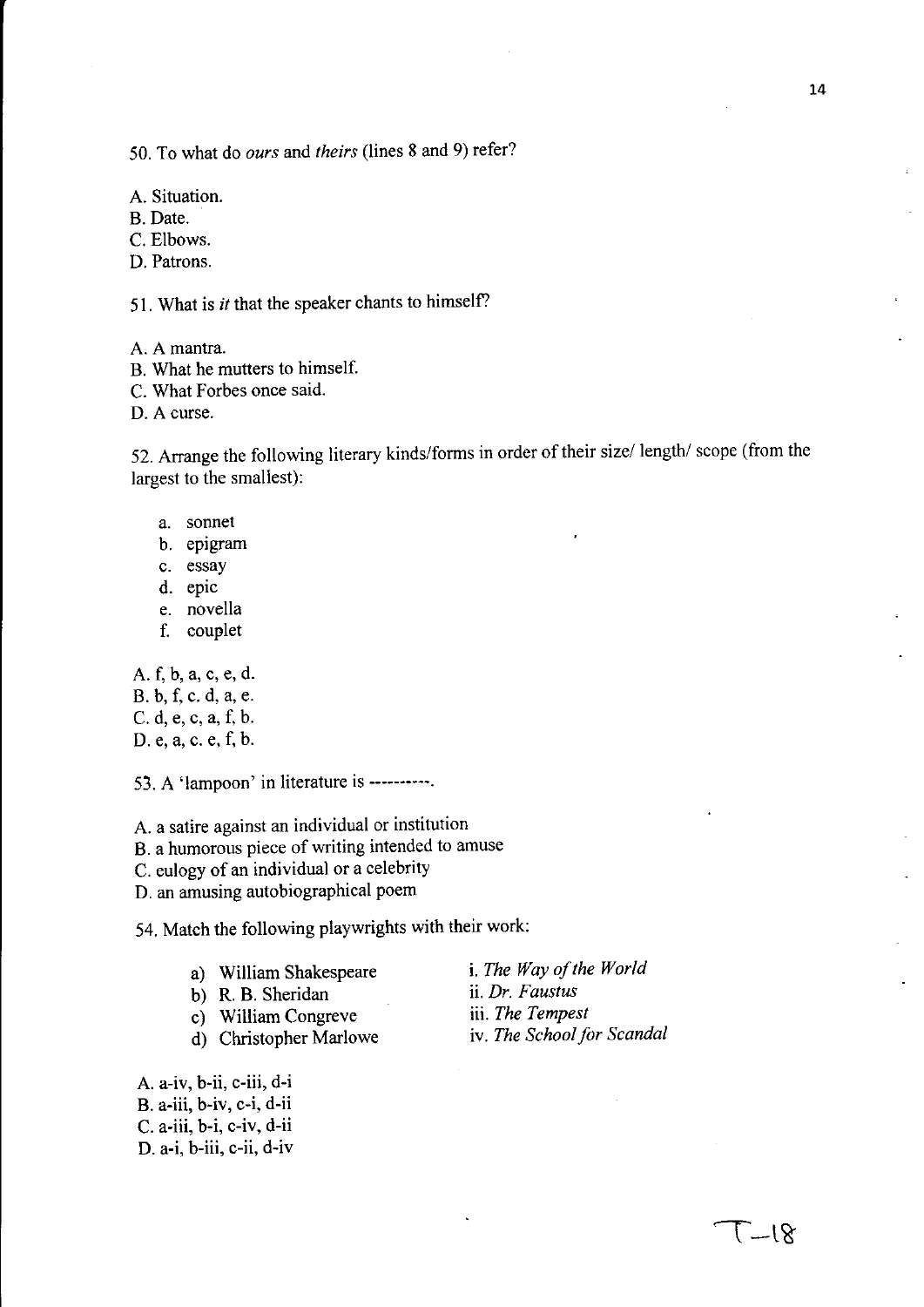50. To what do *ours* and *theirs* (lines 8 and 9) refer?

A. Situation.

B. Date.

C. Elbows.

D. Patrons.

51. What is *it* that the speaker chants to himself?

A. A mantra.

B. What he mutters to himself.

C. What Forbes once said.

D. A curse.

52. Arrange the following literary kinds/forms in order of their size/ length/ scope (from the largest to the smallest):

- a. sonnet
- b. epIgram
- c. essay
- d. epic
- e. novella
- f. couplet

A. f, b, a, c, e, d.

B. b, f, c. d, a, e.

C. d, e, c, a, f, b.

D. e, a, c. e, f, b.

53. A 'lampoon' in literature is ----------.

A. a satire against an individual or institution

B. a humorous piece of writing intended to amuse

C. eulogy of an individual or a celebrity

D. an amusing autobiographical poem

54. Match the following playwrights with their work:

| a) |  | William Shakespeare |
|----|--|---------------------|
|----|--|---------------------|

b) R. B. Sheridan

c) William Congreve

d) Christopher Marlowe

A. a-iv, b-ii, c-iii, d-i B. a-iii, b-iv, c-i, d-ii C. a-iii, b-i, c-iv, d-ii D. a-i, b-iii, c-ii, d-iv i. *The Way of the World*  ii. *Dr. Faustus*  iii. *The Tempest*  iv. *The School for Scandal*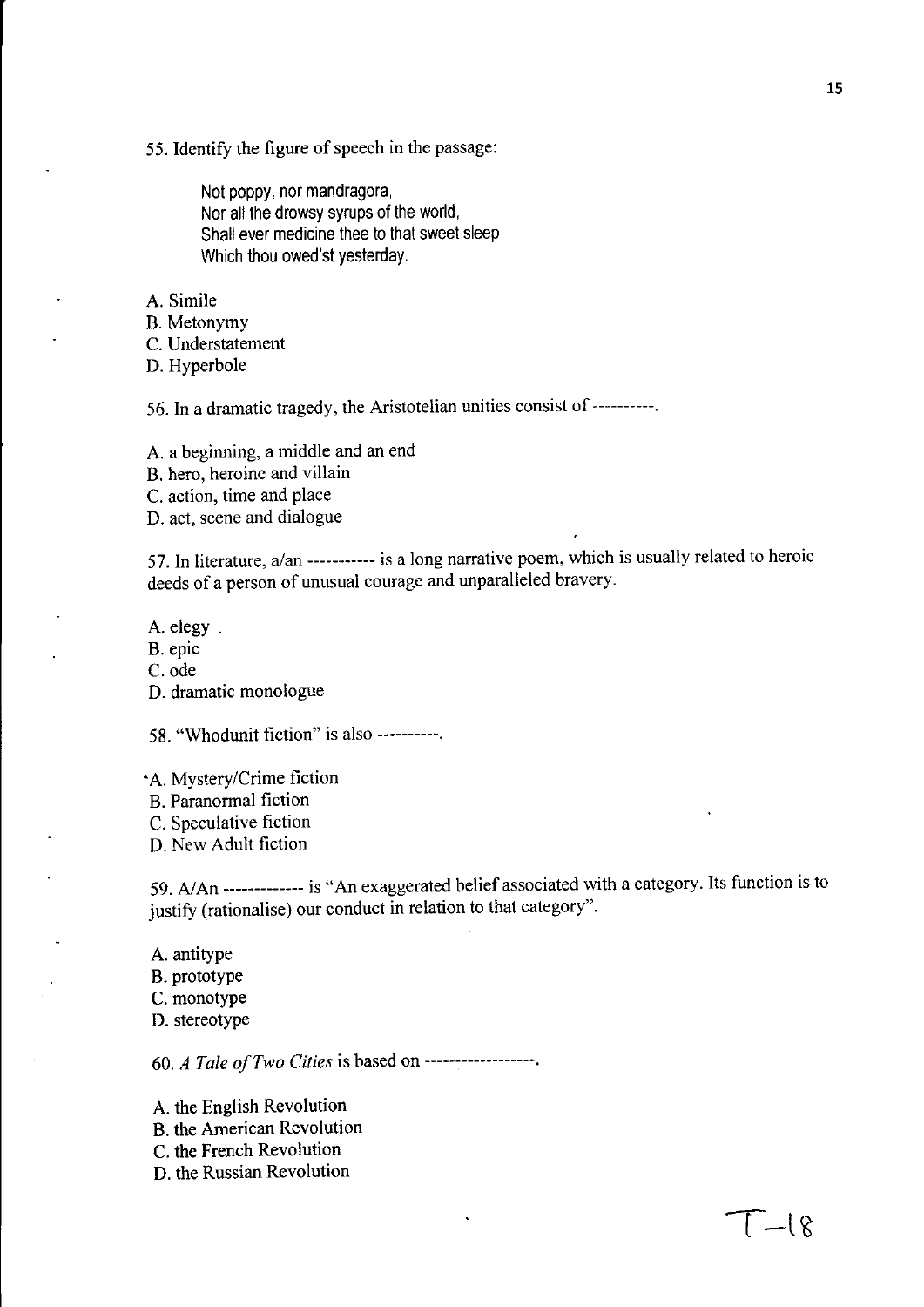55. Identify the figure of speech in the passage:

Not poppy, nor mandragora, Nor all the drowsy syrups of the world, Shall ever medicine thee to that sweet sleep Which thou owed'st yesterday.

A. Simile

B. Metonymy

C. Understatement

D. Hyperbole

56. **In** a dramatic tragedy, the Aristotelian unities consist of ----------.

A. a beginning, a middle and an end

B. hero, heroine and villain

C. action, time and place

D. act, scene and dialogue

57. In literature, a/an ----------- is a long narrative poem, which is usually related to heroic deeds of a person of unusual courage and unparalleled bravery.

A. elegy.

B. epic

C.ode

D. dramatic monologue

58. "Whodunit fiction" is also ----------.

• A. Mystery/Crime fiction

B. Paranormal fiction

C. Speculative fiction

D. New Adult fiction

59. AlAn ------------- is "An exaggerated belief associated with a category. Its function is to justify (rationalise) our conduct in relation to that category".

A. antitype B. prototype C. monotype D. stereotype

*60. A Tale of Two Cities* is based on ------------------.

A. the English Revolution

B. the American Revolution

- C. the French Revolution
- D. the Russian Revolution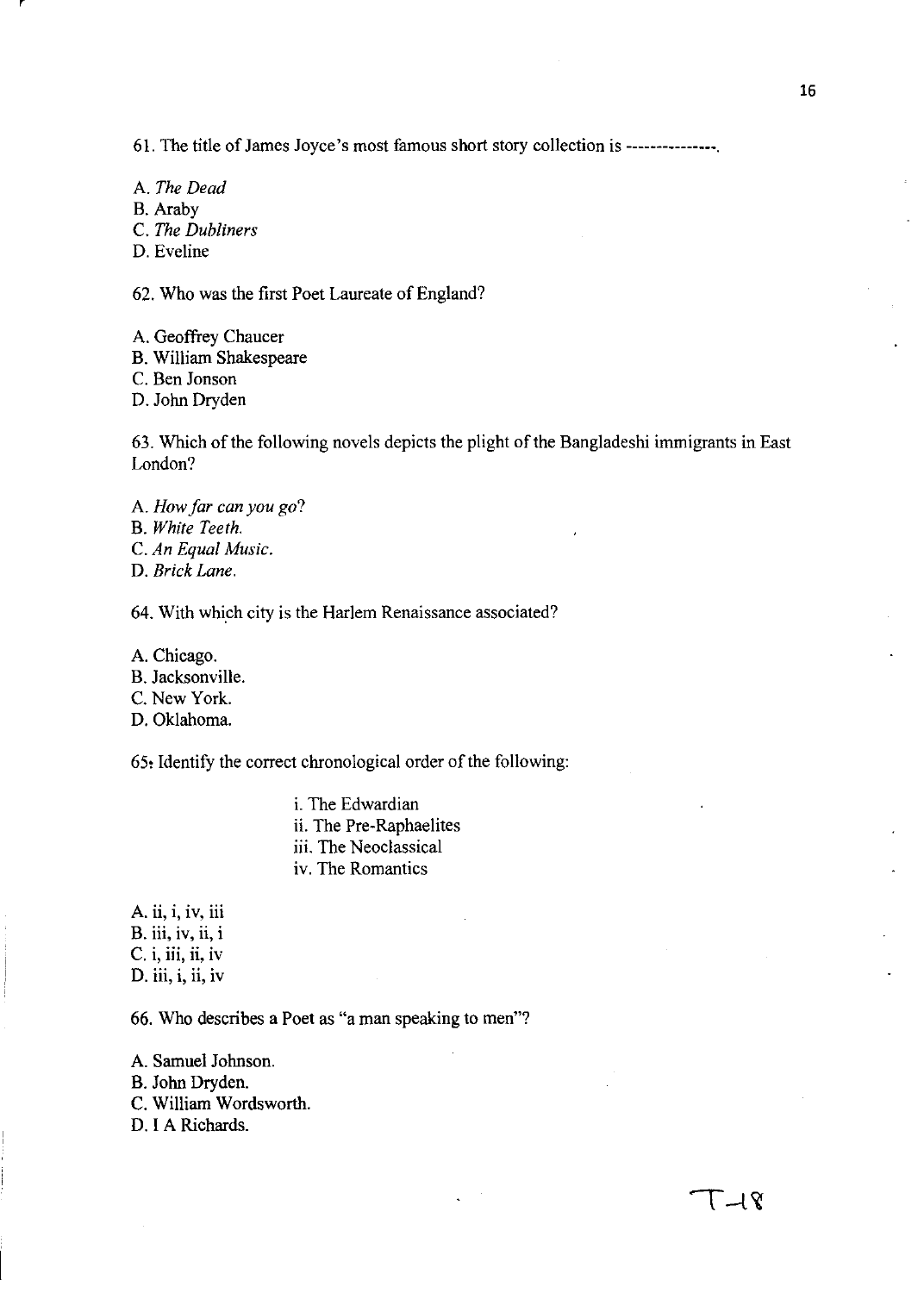61. The title of James Joyce's most famous short story collection is ---------------.

A. *The Dead*  B. Araby C. *The Dubliners*  D. Eveline

62. Who was the first Poet Laureate of England?

A. Geoffrey Chaucer B. William Shakespeare C. Ben Jonson D. John Dryden

63. Which of the following novels depicts the plight of the Bangladeshi immigrants in East London?

A. *How far can you go?*  B. *White Teeth.*  C. *An Equal Music.*  D. *Brick Lane.* 

64. With which city is the Harlem Renaissance associated?

A. Chicago. B. Jacksonville. C. New York. D. Oklahoma.

65, Identify the correct chronological order of the following:

i. The Edwardian ii. The Pre-Raphaelites iii. The Neoclassical iv. The Romantics

A. ii, i, iv, iii B. iii, iv, ii, i  $C.$  i, iii, ii, iv D. iii, i, ii, iv

66. Who describes a Poet as "a man speaking to men"?

A. Samuel Johnson. B. John Dryden. C. William Wordsworth. D. I A Richards.

୮⊣ዩ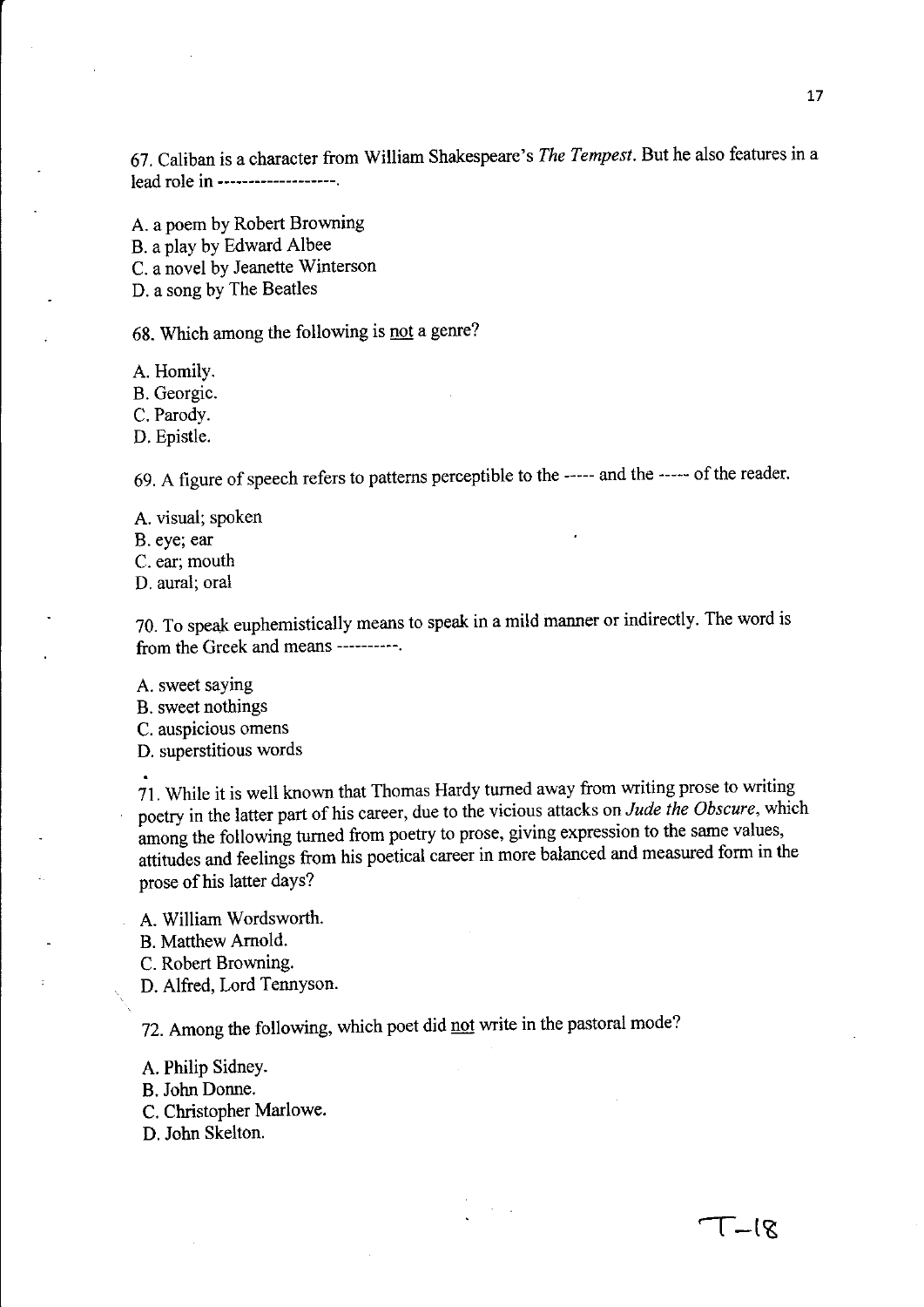67. Caliban is a character from William Shakespeare's *The Tempest.* But he also features in a lead role in **-------------------.** 

A. a poem by Robert Browning B. a play by Edward Albee C. a novel by Jeanette Winterson D. a song by The Beatles

68. Which among the following is not a genre?

A. Homily.

B. Georgic.

C. Parody.

D. Epistle.

69. A figure of speech refers to patterns perceptible to the **-----** and the **-----** of the reader.

A. visual; spoken B. eye; ear C. ear; mouth D. aural; oral

70. To speak euphemistically means to speak in a mild manner or indirectly. The word is from the Greek and means **----------.** 

A. sweet saying

B. sweet nothings

C. auspicious omens

D. superstitious words

71. While it is well known that Thomas Hardy turned away from writing prose to writing poetry in the latter part of his career, due to the vicious attacks on *Jude the Obscure,* which among the following turned from poetry to prose, giving expression to the same values, attitudes and feelings from his poetical career in more balanced and measured form in the prose of his latter days?

A. William Wordsworth.

B. Matthew Arnold.

C. Robert Browning.

D. Alfred, Lord Tennyson.

72. Among the following, which poet did not write in the pastoral mode?

A. Philip Sidney. B. John Donne.

C. Christopher Marlowe.

D. John Skelton.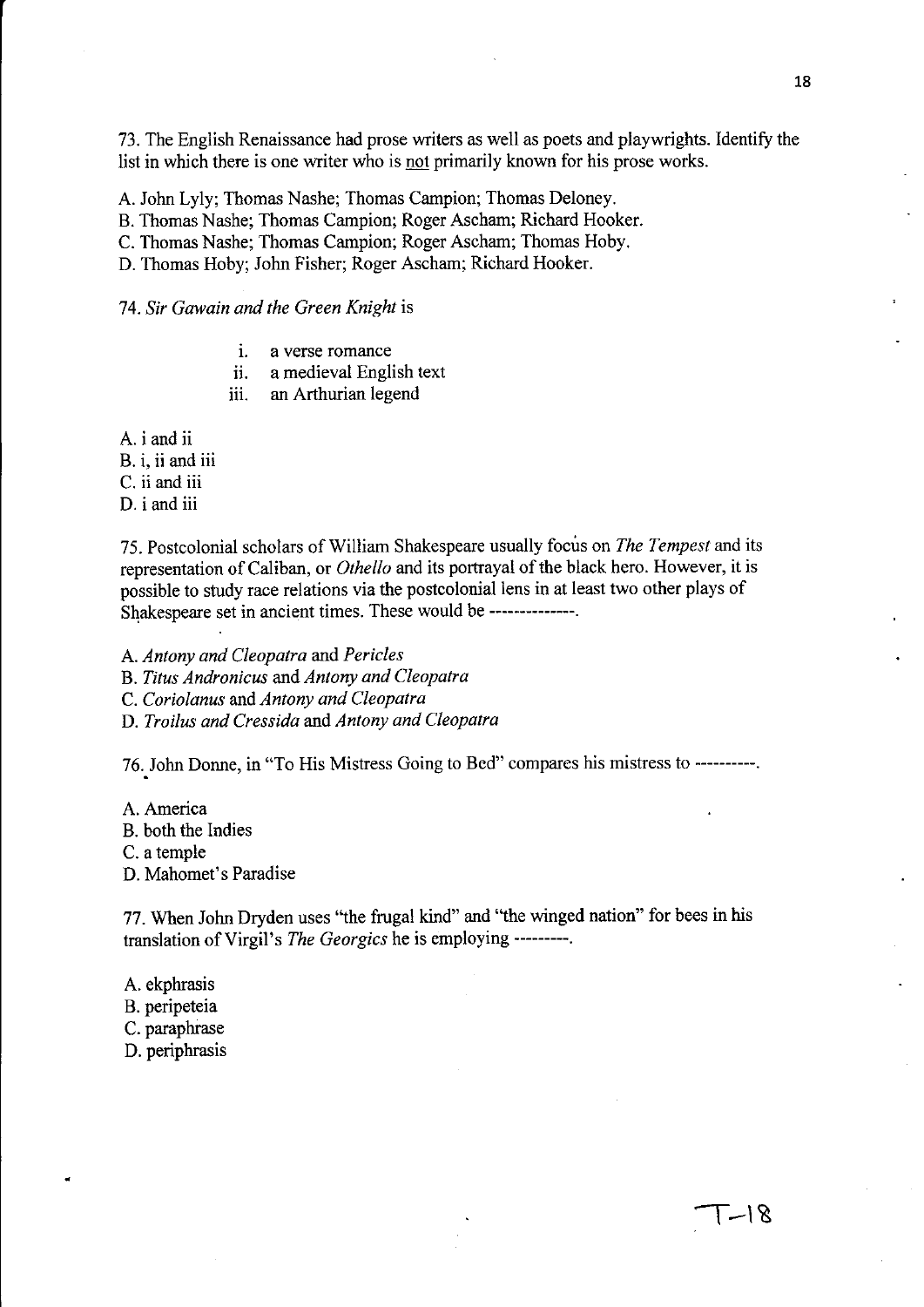73. The English Renaissance had prose writers as well as poets and playwrights. Identify the list in which there is one writer who is not primarily known for his prose works.

A. John Lyly; Thomas Nashe; Thomas Campion; Thomas Deloney.

B. Thomas Nashe; Thomas Campion; Roger Ascham; Richard Hooker.

C. Thomas Nashe; Thomas Campion; Roger Ascham; Thomas Hoby.

D. Thomas Hoby; John Fisher; Roger Ascham; Richard Hooker.

*74. Sir Gawain and the Green Knight* is

- i. a verse romance
- ii. a medieval English text
- iii. an Arthurian legend

A. i and ii

- B. i, ii and iii
- C. ii and iii

D. i and iii

75. Postcolonial scholars of William Shakespeare usually focus on *The Tempest* and its representation of Caliban, or *Othello* and its portrayal of the black hero. However, it is possible to study race relations via the postcolonial lens in at least two other plays of Shakespeare set in ancient times. These would be ---------------

A. *Antony and Cleopatra* and *Pericles* 

B. *Titus Andronicus* and *Antony and Cleopatra* 

C. *Coriolanus* and *Antony and Cleopatra* 

D. *Troilus and Cressida* and *Antony and Cleopatra* 

76. John Donne, in "To His Mistress Going to Bed" compares his mistress to ----------

A. America B. both the Indies C. a temple

D. Mahomet's Paradise

77. When John Dryden uses "the frugal kind" and "the winged nation" for bees in his translation of Virgil's *The Georgics* he is employing **---------.** 

A. ekphrasis

B. peripeteia

C. paraphrase

D. periphrasis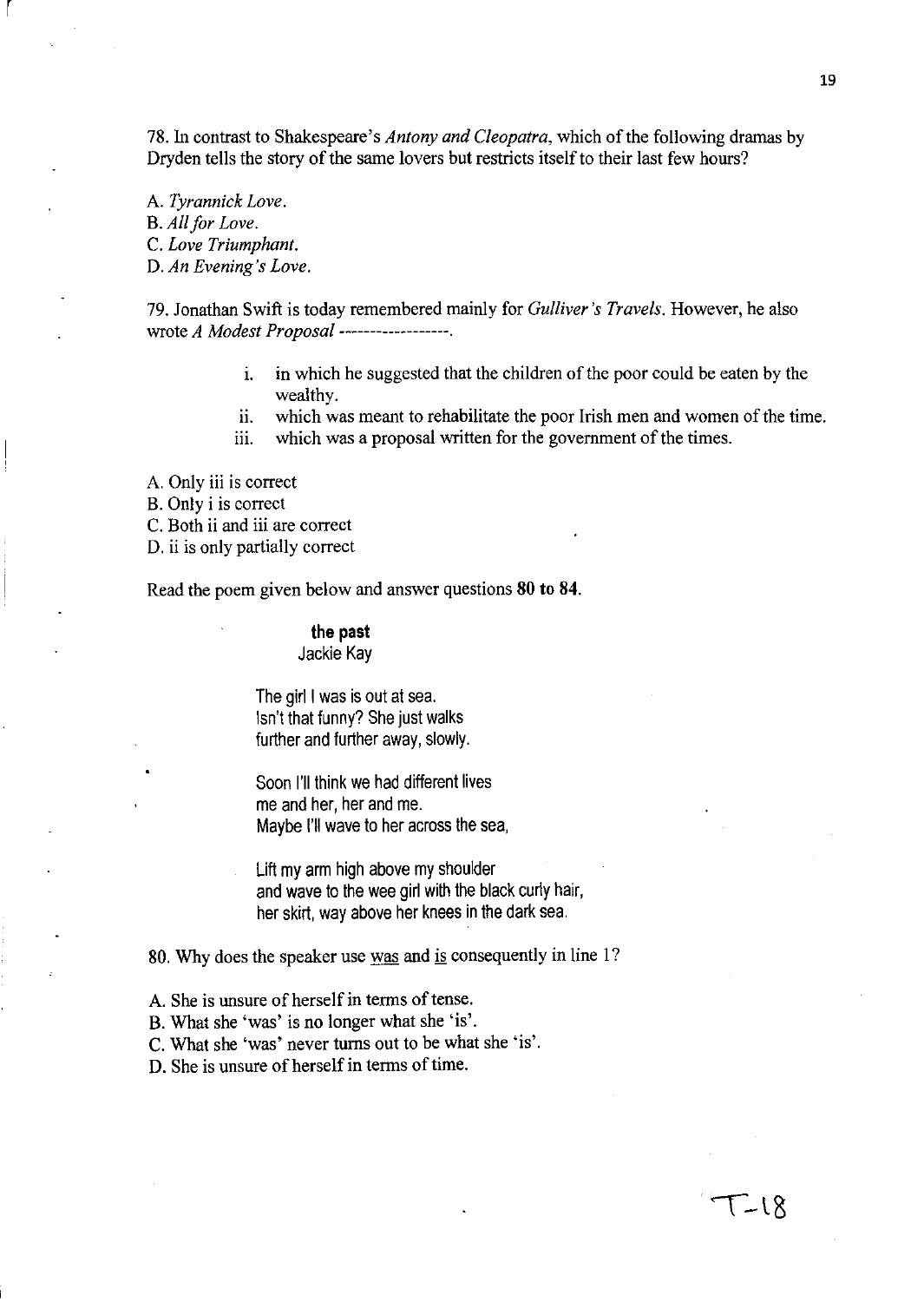78. In contrast to Shakespeare's *Antony and Cleopatra,* which of the following dramas by Dryden tells the story of the same lovers but restricts itself to their last few hours?

A. *Tyrannick Love.*  B. *All for Love.*  C. *Love Triumphant.*  D. *An Evening's Love.* 

r

79. Jonathan Swift is today remembered mainly for *Gulliver's Travels.* However, he also wrote *A Modest Proposal* ------------------.

- 1. in which he suggested that the children of the poor could be eaten by the wealthy.
- i. which was meant to rehabilitate the poor Irish men and women of the time.
- iii. which was a proposal written for the government of the times.
- A. Only iii is correct
- B. Only i is correct
- C. Both ii and iii are correct
- D. ii is only partially correct

Read the poem given below and answer questions 80 to 84.

### **the past**  Jackie Kay

The girl I was is out at sea. Isn't that funny? She just walks further and further away, slowly.

Soon I'll think we had different lives me and her, her and me. Maybe I'll wave to her across the sea,

Lift my arm high above my shoulder and wave to the wee girl with the black curly hair, her skirt, way above her knees in the dark sea.

### 80. Why does the speaker use was and is consequently in line 1?

- A. She is unsure of herself in terms of tense.
- B. What she 'was' is no longer what she 'is'.
- C. What she 'was' never turns out to be what she 'is'.
- D. She is unsure of herself in terms of time.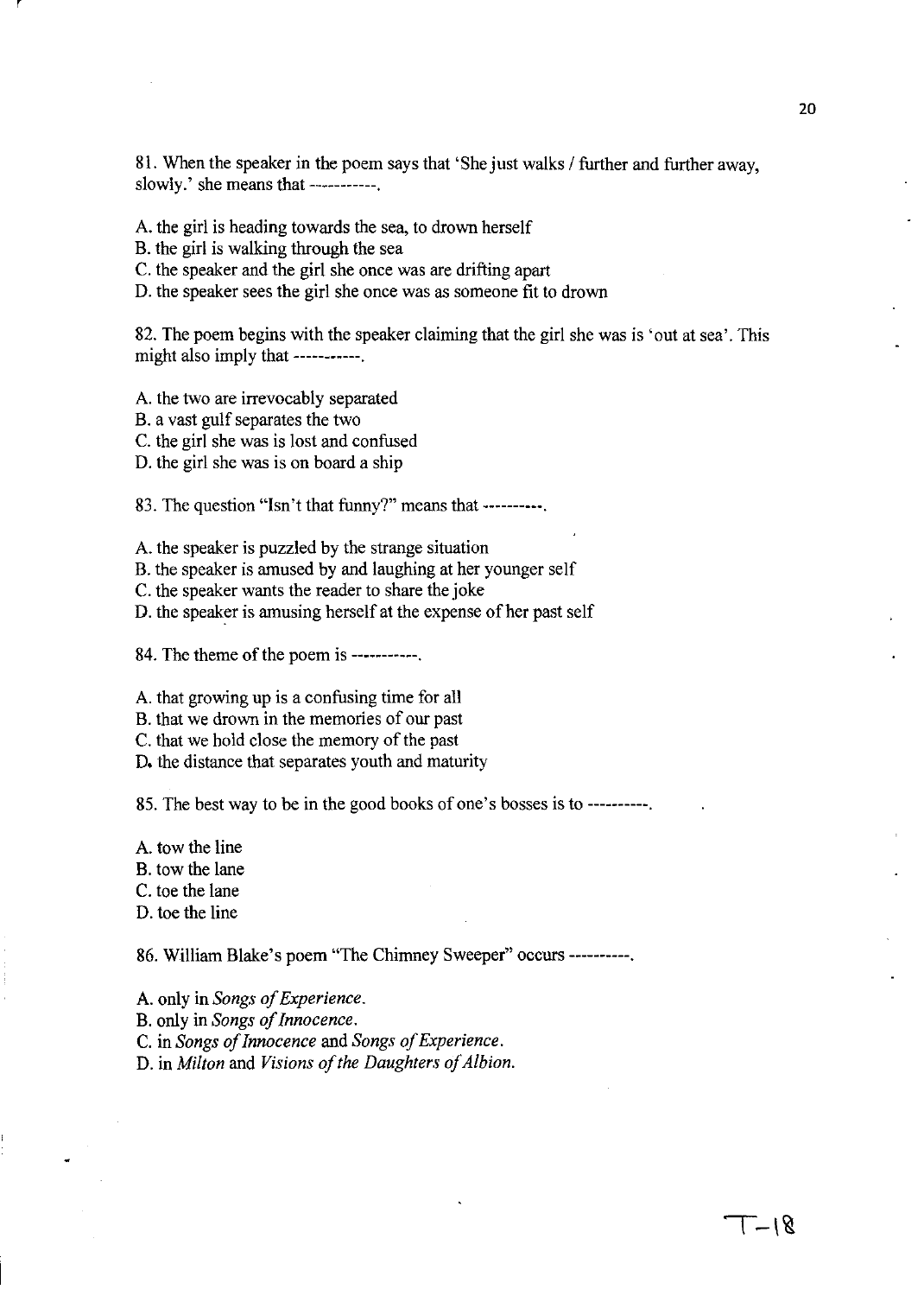81. When the speaker in the poem says that 'She just walks / further and further away, slowly.' she means that -----------

A. the girl is heading towards the sea, to drown herself

B. the girl is walking through the sea

r

C. the speaker and the girl she once was are drifting apart

D. the speaker sees the girl she once was as someone fit to drown

82. The poem begins with the speaker claiming that the girl she was is 'out at sea'. This might also imply that -----------

A. the two are irrevocably separated

B. a vast gulf separates the two

C. the girl she was is lost and confused

D. the girl she was is on board a ship

83. The question "Isn't that funny?" means that ----------.

A. the speaker is puzzled by the strange situation

B. the speaker is amused by and laughing at her younger self

C. the speaker wants the reader to share the joke

D. the speaker is amusing herself at the expense of her past self

84. The theme of the poem is -----------.

A. that growing up is a confusing time for all

B. that we drown in the memories of our past

C. that we hold close the memory of the past

D. the distance that separates youth and maturity

85. The best way to be in the good books of one's bosses is to ----------.

A. tow the line B. tow the lane C. toe the lane

D. toe the line

86. William Blake's poem "The Chimney Sweeper" occurs ----------.

A. only in *Songs of Experience.*  B. only in *Songs of Innocence.*  C. in *Songs of Innocence* and *Songs of Experience.*  D. in *Milton* and *Visions of the Daughters of Albion.*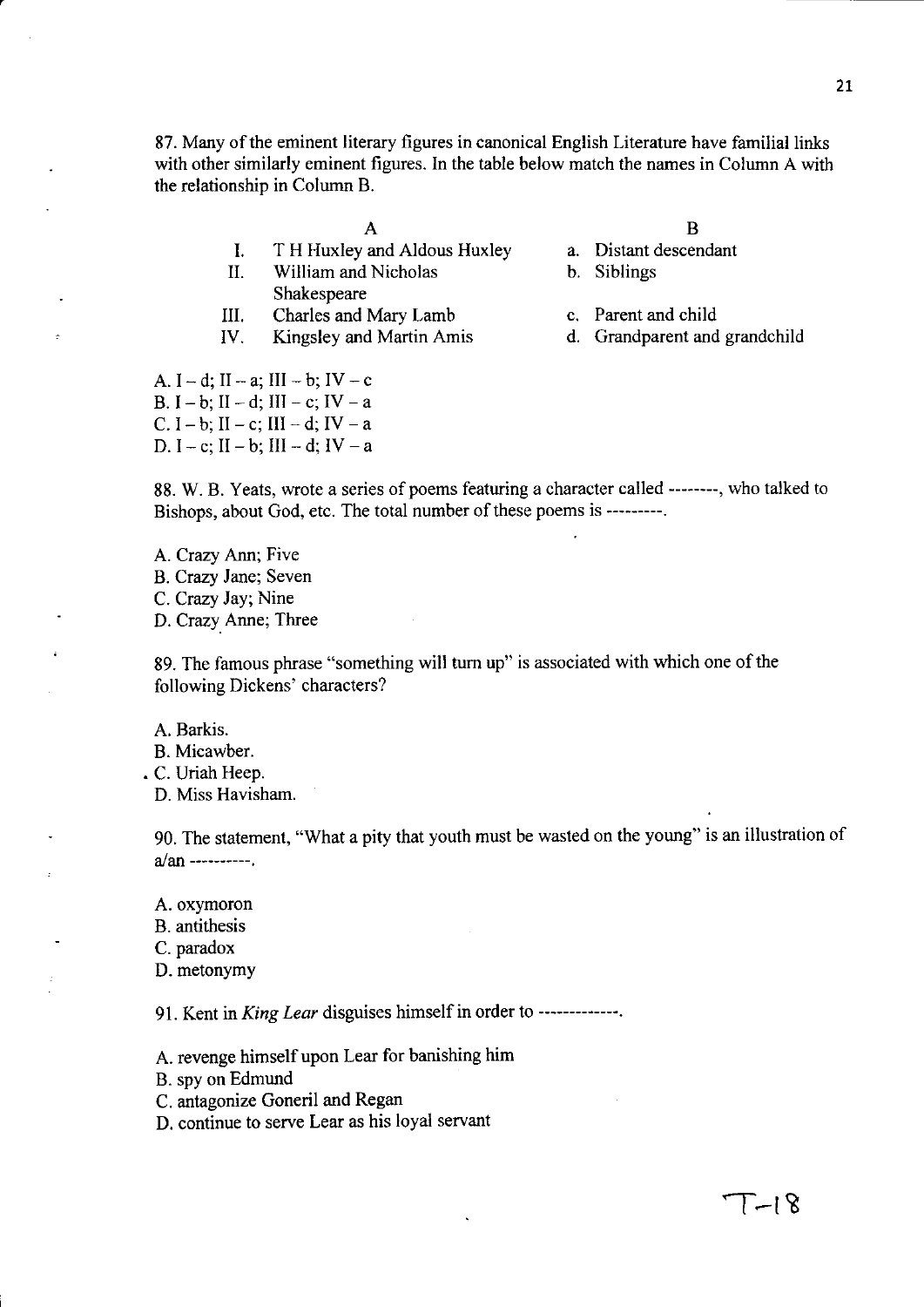87. Many of the eminent literary figures in canonical English Literature have familial links with other similarly eminent figures. In the table below match the names in Column A with the relationship in Column B.

A

- I. T H Huxley and Aldous Huxley
- II. William and Nicholas Shakespeare
- III. Charles and Mary Lamb
- IV. Kingsley and Martin Amis
- B
- a. Distant descendant
- b. Siblings
- c. Parent and child
- d. Grandparent and grandchild

A.  $I - d$ ;  $II - a$ ;  $III - b$ ;  $IV - c$ B.  $I - b$ ;  $II - d$ ;  $III - c$ ;  $IV - a$ C.  $I - b$ ; II  $- c$ ; III  $- d$ ; IV  $- a$ D.  $I - c$ ;  $II - b$ ;  $III - d$ ;  $IV - a$ 

88. W. B. Yeats, wrote a series of poems featuring a character called --------, who talked to Bishops, about God, etc. The total number of these poems is ---------.

A. Crazy Ann; Five B. Crazy Jane; Seven C. Crazy Jay; Nine D. Crazy Anne; Three

89. The famous phrase "something will turn up" is associated with which one of the following Dickens' characters?

A. Barkis.

B. Micawber.

• C. Uriah Heep.

D. Miss Havisham.

90. The statement, "What a pity that youth must be wasted on the young" is an illustration of a/an ----------.

A. oxymoron

B. antithesis

C. paradox

D. metonymy

91. Kent in *King Lear* disguises himself in order to -------------.

A. revenge himself upon Lear for banishing him

B. spy on Edmund

C. antagonize Goneril and Regan

D. continue to serve Lear as his loyal servant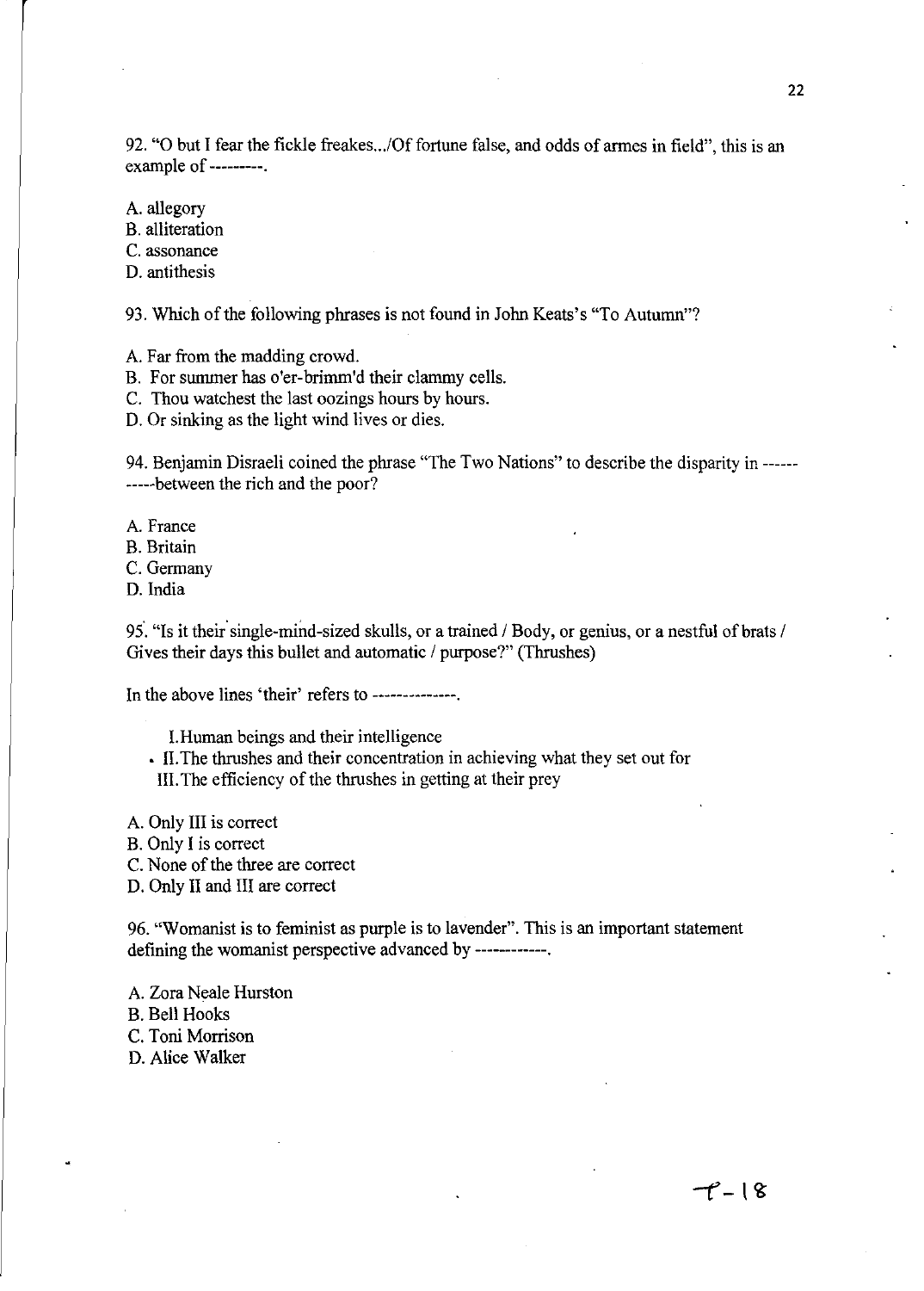92. "O but I fear the fickle freakes.../Of fortune false, and odds of armes in field", this is an example of ---------.

A. allegory

B. alliteration

C. assonance

D. antithesis

93. Which of the following phrases is not found in John Keats's "To Autumn"?

A. Far from the madding crowd.

B. For sununer has o'er-brimm'd their clammy cells.

C. Thou watchest the last oozings hours by hours.

D. Or sinking as the light wind lives or dies.

94. Benjamin Disraeli coined the phrase "The Two Nations" to describe the disparity in ------ -----between the rich and the poor?

A. France

B. Britain

C. Germany

D. India

95. "Is it their single-mind-sized skulls, or a trained / Body, or genius, or a nestful of brats / Gives their days this bullet and automatic / purpose?" (Thrushes)

In the above lines 'their' refers to --------------.

I. Human beings and their intelligence

• II. The thrushes and their concentration in achieving what they set out for

Ill. The efficiency of the thrushes in getting at their prey

A. Only III is correct

B. Only I is correct

C. None of the three are correct

D. Only II and III are correct

96. "Womanist is to feminist as purple is to lavender". This is an important statement defining the womanist perspective advanced by ------------.

A. Zora Neale Hurston B. Bell Hooks C. Toni Morrison

D. Alice Walker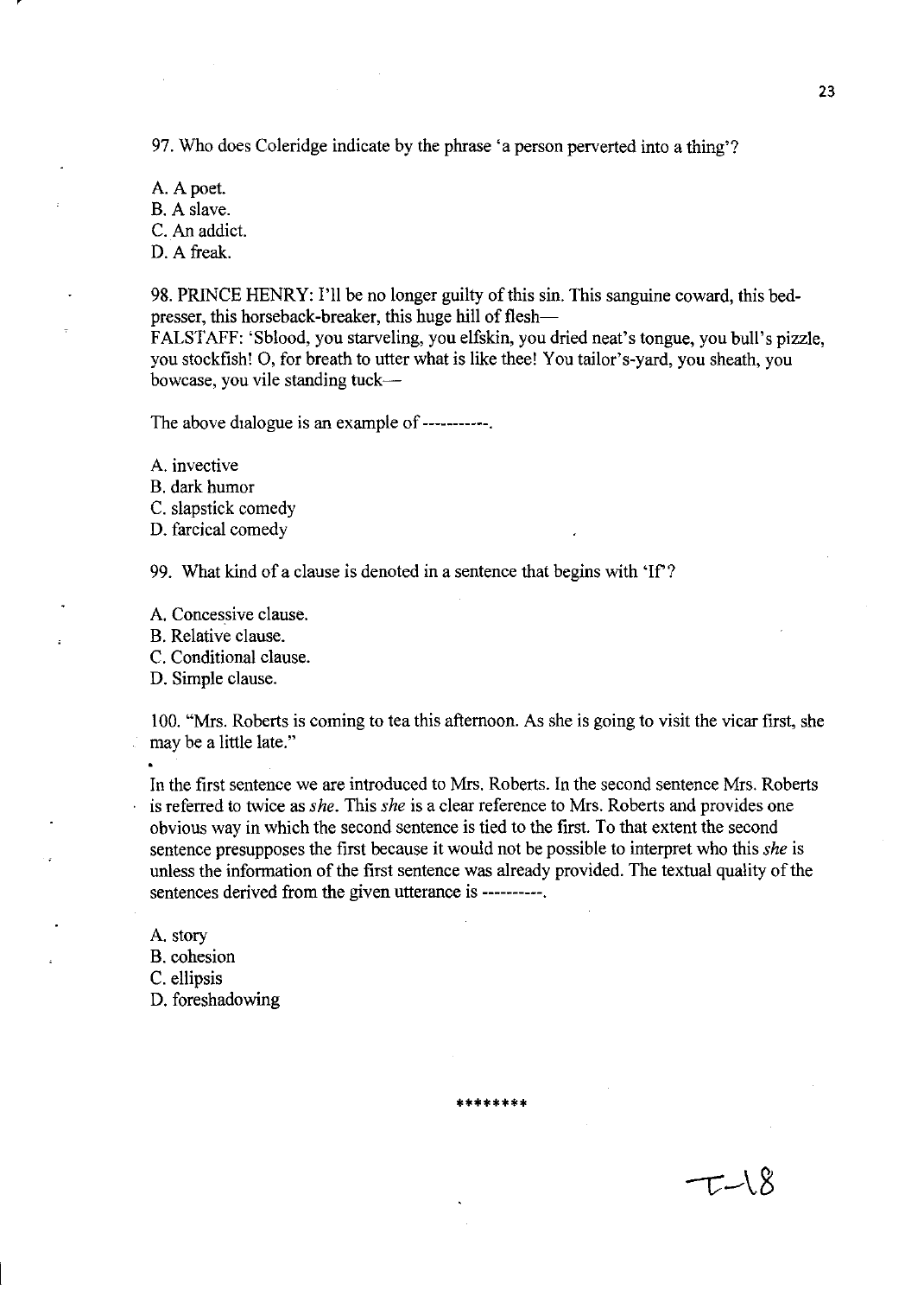97. Who does Coleridge indicate by the phrase 'a person perverted into a thing'?

A. A poet. B. A slave. C. An addict. D. A freak.

98. PRINCE HENRY: I'll be no longer guilty of this sin. This sanguine coward, this bedpresser, this horseback-breaker, this huge hill of flesh-

FALSTAFF: 'Sblood, you starveling, you elfskin, you dried neat's tongue, you bull's pizzle, you stockfish! 0, for breath to utter what is like thee! You tailor's-yard, you sheath, you bowcase, you vile standing tuck-

The above dialogue is an example of -----------

A. invective

B. dark humor

C. slapstick comedy

D. farcical comedy

99. What kind of a clause is denoted in a sentence that begins with 'If?

A. Concessive clause.

B. Relative clause.

C. Conditional clause.

D. Simple clause.

100. "Mrs. Roberts is coming to tea this afternoon. As she is going to visit the vicar first, she may be a little late."

In the first sentence we are introduced to Mrs. Roberts. In the second sentence Mrs. Roberts is referred to twice as *she.* This *she* is a clear reference to Mrs. Roberts and provides one obvious way in which the second sentence is tied to the first. To that extent the second sentence presupposes the first because it would not be possible to interpret who this *she* is unless the information of the first sentence was already provided. The textual quality of the sentences derived from the given utterance is ----------.

**\*\*\*\*\*\*\*\*** 

A. story B. cohesion C. ellipsis D. foreshadowing

 $T-N$   $\times$